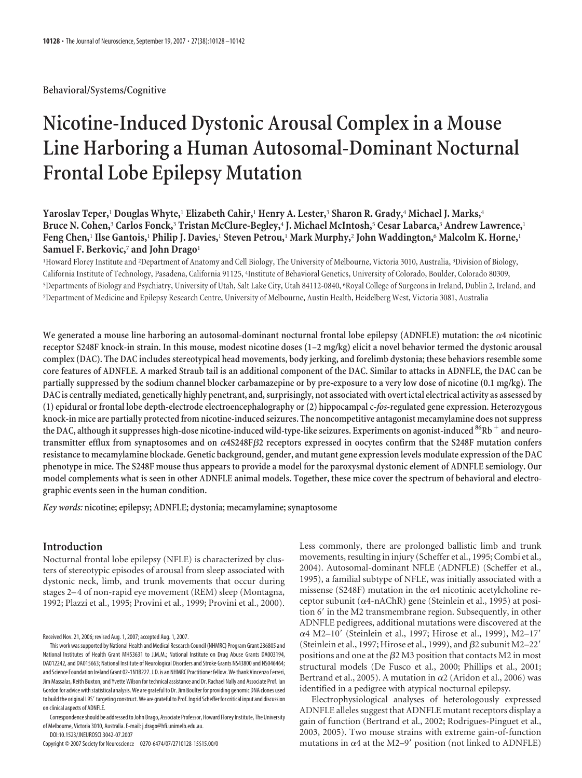**Behavioral/Systems/Cognitive**

# **Nicotine-Induced Dystonic Arousal Complex in a Mouse Line Harboring a Human Autosomal-Dominant Nocturnal Frontal Lobe Epilepsy Mutation**

# **Yaroslav Teper,**<sup>1</sup> **Douglas Whyte,**<sup>1</sup> **Elizabeth Cahir,**<sup>1</sup> **Henry A. Lester,**<sup>3</sup> **Sharon R. Grady,**<sup>4</sup> **Michael J. Marks,**<sup>4</sup> **Bruce N. Cohen,**<sup>3</sup> **Carlos Fonck,**<sup>3</sup> **Tristan McClure-Begley,**<sup>4</sup> **J. Michael McIntosh,**<sup>5</sup> **Cesar Labarca,**<sup>3</sup> **Andrew Lawrence,**<sup>1</sup> **Feng Chen,**<sup>1</sup> **Ilse Gantois,**<sup>1</sup> **Philip J. Davies,**<sup>1</sup> **Steven Petrou,**<sup>1</sup> **Mark Murphy,**<sup>2</sup> **John Waddington,**<sup>6</sup> **Malcolm K. Horne,**<sup>1</sup> **Samuel F. Berkovic,**<sup>7</sup> **and John Drago**<sup>1</sup>

<sup>1</sup>Howard Florey Institute and <sup>2</sup>Department of Anatomy and Cell Biology, The University of Melbourne, Victoria 3010, Australia, <sup>3</sup>Division of Biology, California Institute of Technology, Pasadena, California 91125, <sup>4</sup> Institute of Behavioral Genetics, University of Colorado, Boulder, Colorado 80309, 5 Departments of Biology and Psychiatry, University of Utah, Salt Lake City, Utah 84112-0840, <sup>6</sup> Royal College of Surgeons in Ireland, Dublin 2, Ireland, and 7 Department of Medicine and Epilepsy Research Centre, University of Melbourne, Austin Health, Heidelberg West, Victoria 3081, Australia

We generated a mouse line harboring an autosomal-dominant nocturnal frontal lobe epilepsy (ADNFLE) mutation: the  $\alpha$ 4 nicotinic **receptor S248F knock-in strain. In this mouse, modest nicotine doses (1–2 mg/kg) elicit a novel behavior termed the dystonic arousal complex (DAC). The DAC includes stereotypical head movements, body jerking, and forelimb dystonia; these behaviors resemble some core features of ADNFLE. A marked Straub tail is an additional component of the DAC. Similar to attacks in ADNFLE, the DAC can be partially suppressed by the sodium channel blocker carbamazepine or by pre-exposure to a very low dose of nicotine (0.1 mg/kg). The DAC is centrally mediated, genetically highly penetrant, and, surprisingly, not associated with overt ictal electrical activity as assessed by (1) epidural or frontal lobe depth-electrode electroencephalography or (2) hippocampal c-***fos***-regulated gene expression. Heterozygous knock-in mice are partially protected from nicotine-induced seizures. The noncompetitive antagonist mecamylamine does not suppress the DAC, although it suppresses high-dose nicotine-induced wild-type-like seizures. Experiments on agonist-induced 86Rb and neurotransmitter efflux from synaptosomes and on 4S248F**-**2 receptors expressed in oocytes confirm that the S248F mutation confers resistance to mecamylamine blockade. Genetic background, gender, and mutant gene expression levels modulate expression of the DAC phenotype in mice. The S248F mouse thus appears to provide a model for the paroxysmal dystonic element of ADNFLE semiology. Our model complements what is seen in other ADNFLE animal models. Together, these mice cover the spectrum of behavioral and electrographic events seen in the human condition.**

*Key words:* **nicotine; epilepsy; ADNFLE; dystonia; mecamylamine; synaptosome**

# **Introduction**

Nocturnal frontal lobe epilepsy (NFLE) is characterized by clusters of stereotypic episodes of arousal from sleep associated with dystonic neck, limb, and trunk movements that occur during stages 2–4 of non-rapid eye movement (REM) sleep (Montagna, 1992; Plazzi et al., 1995; Provini et al., 1999; Provini et al., 2000).

Received Nov. 21, 2006; revised Aug. 1, 2007; accepted Aug. 1, 2007.

Correspondence should be addressed to John Drago, Associate Professor, Howard Florey Institute, The University of Melbourne, Victoria 3010, Australia. E-mail: j.drago@hfi.unimelb.edu.au.

DOI:10.1523/JNEUROSCI.3042-07.2007

Copyright © 2007 Society for Neuroscience 0270-6474/07/2710128-15\$15.00/0

Less commonly, there are prolonged ballistic limb and trunk movements, resulting in injury (Scheffer et al., 1995; Combi et al., 2004). Autosomal-dominant NFLE (ADNFLE) (Scheffer et al., 1995), a familial subtype of NFLE, was initially associated with a missense (S248F) mutation in the  $\alpha$ 4 nicotinic acetylcholine receptor subunit ( $\alpha$ 4-nAChR) gene (Steinlein et al., 1995) at position 6' in the M2 transmembrane region. Subsequently, in other ADNFLE pedigrees, additional mutations were discovered at the α4 M2–10' (Steinlein et al., 1997; Hirose et al., 1999), M2–17' (Steinlein et al., 1997; Hirose et al., 1999), and  $\beta$ 2 subunit M2-22' positions and one at the  $\beta$ 2 M3 position that contacts M2 in most structural models (De Fusco et al., 2000; Phillips et al., 2001; Bertrand et al., 2005). A mutation in  $\alpha$ 2 (Aridon et al., 2006) was identified in a pedigree with atypical nocturnal epilepsy.

Electrophysiological analyses of heterologously expressed ADNFLE alleles suggest that ADNFLE mutant receptors display a gain of function (Bertrand et al., 2002; Rodrigues-Pinguet et al., 2003, 2005). Two mouse strains with extreme gain-of-function mutations in  $\alpha$ 4 at the M2–9' position (not linked to ADNFLE)

This work wassupported by National Health and Medical Research Council (NHMRC) Program Grant 236805 and National Institutes of Health Grant MH53631 to J.M.M.; National Institute on Drug Abuse Grants DA003194, DA012242, and DA015663; National Institute of Neurological Disorders and Stroke Grants NS43800 and NS046464; and Science Foundation Ireland Grant 02-1N1B227.J.D. is an NHMRC Practitioner fellow.Wethank Vincenzo Ferreri, Jim Massalas, Keith Buxton, and Yvette Wilson for technical assistance and Dr. Rachael Nally and Associate Prof. Ian Gordon for advice with statistical analysis. We are grateful to Dr. Jim Boulter for providing genomic DNA clones used to build the original L9S' targeting construct. We are grateful to Prof. Ingrid Scheffer for critical input and discussion on clinical aspects of ADNFLE.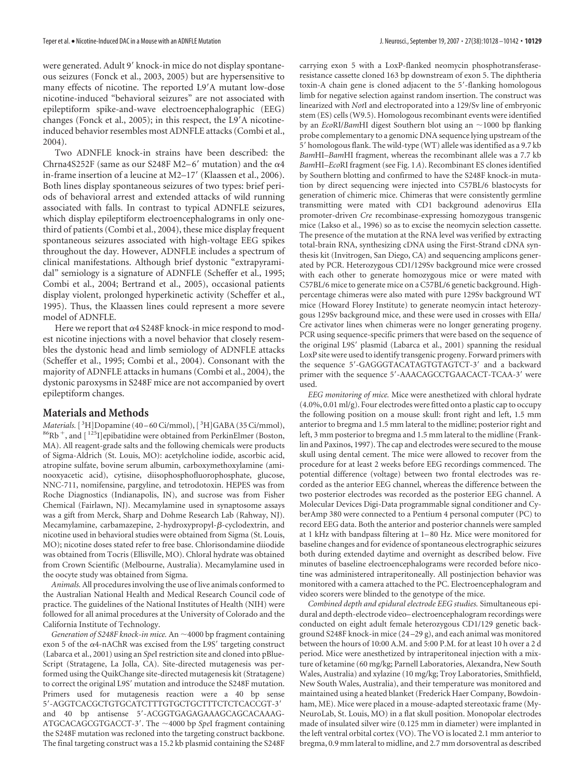were generated. Adult 9' knock-in mice do not display spontaneous seizures (Fonck et al., 2003, 2005) but are hypersensitive to many effects of nicotine. The reported L9'A mutant low-dose nicotine-induced "behavioral seizures" are not associated with epileptiform spike-and-wave electroencephalographic (EEG) changes (Fonck et al., 2005); in this respect, the L9'A nicotineinduced behavior resembles most ADNFLE attacks (Combi et al., 2004).

Two ADNFLE knock-in strains have been described: the Chrna4S252F (same as our S248F M2-6' mutation) and the  $\alpha$ 4 in-frame insertion of a leucine at M2–17' (Klaassen et al., 2006). Both lines display spontaneous seizures of two types: brief periods of behavioral arrest and extended attacks of wild running associated with falls. In contrast to typical ADNFLE seizures, which display epileptiform electroencephalograms in only onethird of patients (Combi et al., 2004), these mice display frequent spontaneous seizures associated with high-voltage EEG spikes throughout the day. However, ADNFLE includes a spectrum of clinical manifestations. Although brief dystonic "extrapyramidal" semiology is a signature of ADNFLE (Scheffer et al., 1995; Combi et al., 2004; Bertrand et al., 2005), occasional patients display violent, prolonged hyperkinetic activity (Scheffer et al., 1995). Thus, the Klaassen lines could represent a more severe model of ADNFLE.

Here we report that  $\alpha$ 4 S248F knock-in mice respond to modest nicotine injections with a novel behavior that closely resembles the dystonic head and limb semiology of ADNFLE attacks (Scheffer et al., 1995; Combi et al., 2004). Consonant with the majority of ADNFLE attacks in humans (Combi et al., 2004), the dystonic paroxysms in S248F mice are not accompanied by overt epileptiform changes.

# **Materials and Methods**

Materials.<sup>[3</sup>H]Dopamine (40–60 Ci/mmol),<sup>[3</sup>  ${}^{86}\text{Rb}^+$ , and  $[{}^{125}\text{I}]$ epibatidine were obtained from PerkinElmer (Boston, MA). All reagent-grade salts and the following chemicals were products of Sigma-Aldrich (St. Louis, MO): acetylcholine iodide, ascorbic acid, atropine sulfate, bovine serum albumin, carboxymethoxylamine (aminooxyacetic acid), cytisine, diisophosphofluorophosphate, glucose, NNC-711, nomifensine, pargyline, and tetrodotoxin. HEPES was from Roche Diagnostics (Indianapolis, IN), and sucrose was from Fisher Chemical (Fairlawn, NJ). Mecamylamine used in synaptosome assays was a gift from Merck, Sharp and Dohme Research Lab (Rahway, NJ). Mecamylamine, carbamazepine, 2-hydroxypropyl-ß-cyclodextrin, and nicotine used in behavioral studies were obtained from Sigma (St. Louis, MO); nicotine doses stated refer to free base. Chlorisondamine diiodide was obtained from Tocris (Ellisville, MO). Chloral hydrate was obtained from Crown Scientific (Melbourne, Australia). Mecamylamine used in the oocyte study was obtained from Sigma.

*Animals.*All procedures involving the use of live animals conformed to the Australian National Health and Medical Research Council code of practice. The guidelines of the National Institutes of Health (NIH) were followed for all animal procedures at the University of Colorado and the California Institute of Technology.

*Generation of S248F knock-in mice.* An  $\sim$  4000 bp fragment containing exon 5 of the  $\alpha$ 4-nAChR was excised from the L9S' targeting construct (Labarca et al., 2001) using an *Spe*I restriction site and cloned into pBlue-Script (Stratagene, La Jolla, CA). Site-directed mutagenesis was performed using the QuikChange site-directed mutagenesis kit (Stratagene) to correct the original L9S' mutation and introduce the S248F mutation. Primers used for mutagenesis reaction were a 40 bp sense 5--AGGTCACGCTGTGCATCTTTGTGCTGCTTTCTCTCACCGT-3 and 40 bp antisense 5--ACGGTGAGAGAAAGCAGCACAAAG-ATGCACAGCGTGACCT-3'. The ~4000 bp SpeI fragment containing the S248F mutation was recloned into the targeting construct backbone. The final targeting construct was a 15.2 kb plasmid containing the S248F

carrying exon 5 with a LoxP-flanked neomycin phosphotransferaseresistance cassette cloned 163 bp downstream of exon 5. The diphtheria toxin-A chain gene is cloned adjacent to the 5'-flanking homologous limb for negative selection against random insertion. The construct was linearized with *Not*I and electroporated into a 129/Sv line of embryonic stem (ES) cells (W9.5). Homologous recombinant events were identified by an *EcoRI/BamHI* digest Southern blot using an ~1000 bp flanking probe complementary to a genomic DNA sequence lying upstream of the 5' homologous flank. The wild-type (WT) allele was identified as a 9.7 kb *Bam*HI*–Bam*HI fragment, whereas the recombinant allele was a 7.7 kb *Bam*HI*–Eco*RI fragment (see Fig. 1*A*). Recombinant ES clones identified by Southern blotting and confirmed to have the S248F knock-in mutation by direct sequencing were injected into C57BL/6 blastocysts for generation of chimeric mice. Chimeras that were consistently germline transmitting were mated with CD1 background adenovirus EIIa promoter-driven *Cre* recombinase-expressing homozygous transgenic mice (Lakso et al., 1996) so as to excise the neomycin selection cassette. The presence of the mutation at the RNA level was verified by extracting total-brain RNA, synthesizing cDNA using the First-Strand cDNA synthesis kit (Invitrogen, San Diego, CA) and sequencing amplicons generated by PCR. Heterozygous CD1/129Sv background mice were crossed with each other to generate homozygous mice or were mated with C57BL/6 mice to generate mice on a C57BL/6 genetic background. Highpercentage chimeras were also mated with pure 129Sv background WT mice (Howard Florey Institute) to generate neomycin intact heterozygous 129Sv background mice, and these were used in crosses with EIIa/ Cre activator lines when chimeras were no longer generating progeny. PCR using sequence-specific primers that were based on the sequence of the original L9S' plasmid (Labarca et al., 2001) spanning the residual LoxP site were used to identify transgenic progeny. Forward primers with the sequence 5'-GAGGGTACATAGTGTAGTCT-3' and a backward primer with the sequence 5'-AAACAGCCTGAACACT-TCAA-3' were used.

*EEG monitoring of mice.* Mice were anesthetized with chloral hydrate (4.0%, 0.01 ml/g). Four electrodes were fitted onto a plastic cap to occupy the following position on a mouse skull: front right and left, 1.5 mm anterior to bregma and 1.5 mm lateral to the midline; posterior right and left, 3 mm posterior to bregma and 1.5 mm lateral to the midline (Franklin and Paxinos, 1997). The cap and electrodes were secured to the mouse skull using dental cement. The mice were allowed to recover from the procedure for at least 2 weeks before EEG recordings commenced. The potential difference (voltage) between two frontal electrodes was recorded as the anterior EEG channel, whereas the difference between the two posterior electrodes was recorded as the posterior EEG channel. A Molecular Devices Digi-Data programmable signal conditioner and CyberAmp 380 were connected to a Pentium 4 personal computer (PC) to record EEG data. Both the anterior and posterior channels were sampled at 1 kHz with bandpass filtering at 1– 80 Hz. Mice were monitored for baseline changes and for evidence of spontaneous electrographic seizures both during extended daytime and overnight as described below. Five minutes of baseline electroencephalograms were recorded before nicotine was administered intraperitoneally. All postinjection behavior was monitored with a camera attached to the PC. Electroencephalogram and video scorers were blinded to the genotype of the mice.

*Combined depth and epidural electrode EEG studies.* Simultaneous epidural and depth-electrode video– electroencephalogram recordings were conducted on eight adult female heterozygous CD1/129 genetic background S248F knock-in mice (24 –29 g), and each animal was monitored between the hours of 10:00 A.M. and 5:00 P.M. for at least 10 h over a 2 d period. Mice were anesthetized by intraperitoneal injection with a mixture of ketamine (60 mg/kg; Parnell Laboratories, Alexandra, New South Wales, Australia) and xylazine (10 mg/kg; Troy Laboratories, Smithfield, New South Wales, Australia), and their temperature was monitored and maintained using a heated blanket (Frederick Haer Company, Bowdoinham, ME). Mice were placed in a mouse-adapted stereotaxic frame (My-NeuroLab, St. Louis, MO) in a flat skull position. Monopolar electrodes made of insulated silver wire (0.125 mm in diameter) were implanted in the left ventral orbital cortex (VO). The VO is located 2.1 mm anterior to bregma, 0.9 mm lateral to midline, and 2.7 mm dorsoventral as described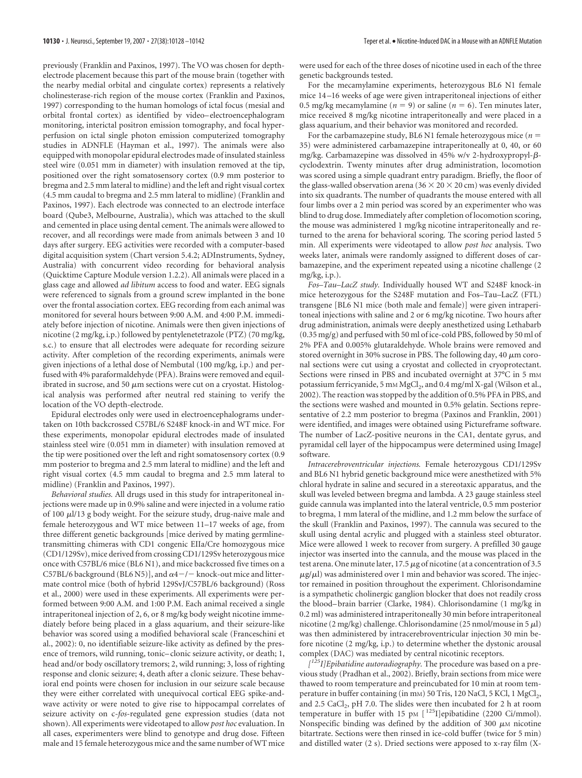previously (Franklin and Paxinos, 1997). The VO was chosen for depthelectrode placement because this part of the mouse brain (together with the nearby medial orbital and cingulate cortex) represents a relatively cholinesterase-rich region of the mouse cortex (Franklin and Paxinos, 1997) corresponding to the human homologs of ictal focus (mesial and orbital frontal cortex) as identified by video– electroencephalogram monitoring, interictal positron emission tomography, and focal hyperperfusion on ictal single photon emission computerized tomography studies in ADNFLE (Hayman et al., 1997). The animals were also equipped with monopolar epidural electrodes made of insulated stainless steel wire (0.051 mm in diameter) with insulation removed at the tip, positioned over the right somatosensory cortex (0.9 mm posterior to bregma and 2.5 mm lateral to midline) and the left and right visual cortex (4.5 mm caudal to bregma and 2.5 mm lateral to midline) (Franklin and Paxinos, 1997). Each electrode was connected to an electrode interface board (Qube3, Melbourne, Australia), which was attached to the skull and cemented in place using dental cement. The animals were allowed to recover, and all recordings were made from animals between 3 and 10 days after surgery. EEG activities were recorded with a computer-based digital acquisition system (Chart version 5.4.2; ADInstruments, Sydney, Australia) with concurrent video recording for behavioral analysis (Quicktime Capture Module version 1.2.2). All animals were placed in a glass cage and allowed *ad libitum* access to food and water. EEG signals were referenced to signals from a ground screw implanted in the bone over the frontal association cortex. EEG recording from each animal was monitored for several hours between 9:00 A.M. and 4:00 P.M. immediately before injection of nicotine. Animals were then given injections of nicotine (2 mg/kg, i.p.) followed by pentylenetetrazole (PTZ) (70 mg/kg, s.c.) to ensure that all electrodes were adequate for recording seizure activity. After completion of the recording experiments, animals were given injections of a lethal dose of Nembutal (100 mg/kg, i.p.) and perfused with 4% paraformaldehyde (PFA). Brains were removed and equilibrated in sucrose, and 50  $\mu$ m sections were cut on a cryostat. Histological analysis was performed after neutral red staining to verify the location of the VO depth-electrode.

Epidural electrodes only were used in electroencephalograms undertaken on 10th backcrossed C57BL/6 S248F knock-in and WT mice. For these experiments, monopolar epidural electrodes made of insulated stainless steel wire (0.051 mm in diameter) with insulation removed at the tip were positioned over the left and right somatosensory cortex (0.9 mm posterior to bregma and 2.5 mm lateral to midline) and the left and right visual cortex (4.5 mm caudal to bregma and 2.5 mm lateral to midline) (Franklin and Paxinos, 1997).

*Behavioral studies.* All drugs used in this study for intraperitoneal injections were made up in 0.9% saline and were injected in a volume ratio of 100  $\mu$ l/13 g body weight. For the seizure study, drug-naive male and female heterozygous and WT mice between 11–17 weeks of age, from three different genetic backgrounds [mice derived by mating germlinetransmitting chimeras with CD1 congenic EIIa/Cre homozygous mice (CD1/129Sv), mice derived from crossing CD1/129Sv heterozygous mice once with C57BL/6 mice (BL6 N1), and mice backcrossed five times on a C57BL/6 background (BL6 N5)], and  $\alpha$ 4-/- knock-out mice and littermate control mice (both of hybrid 129SvJ/C57BL/6 background) (Ross et al., 2000) were used in these experiments. All experiments were performed between 9:00 A.M. and 1:00 P.M. Each animal received a single intraperitoneal injection of 2, 6, or 8 mg/kg body weight nicotine immediately before being placed in a glass aquarium, and their seizure-like behavior was scored using a modified behavioral scale (Franceschini et al., 2002): 0, no identifiable seizure-like activity as defined by the presence of tremors, wild running, tonic– clonic seizure activity, or death; 1, head and/or body oscillatory tremors; 2, wild running; 3, loss of righting response and clonic seizure; 4, death after a clonic seizure. These behavioral end points were chosen for inclusion in our seizure scale because they were either correlated with unequivocal cortical EEG spike-andwave activity or were noted to give rise to hippocampal correlates of seizure activity on c-*fos*-regulated gene expression studies (data not shown). All experiments were videotaped to allow *post hoc* evaluation. In all cases, experimenters were blind to genotype and drug dose. Fifteen male and 15 female heterozygous mice and the same number of WT mice

were used for each of the three doses of nicotine used in each of the three genetic backgrounds tested.

For the mecamylamine experiments, heterozygous BL6 N1 female mice 14 –16 weeks of age were given intraperitoneal injections of either 0.5 mg/kg mecamylamine ( $n = 9$ ) or saline ( $n = 6$ ). Ten minutes later, mice received 8 mg/kg nicotine intraperitoneally and were placed in a glass aquarium, and their behavior was monitored and recorded.

For the carbamazepine study, BL6 N1 female heterozygous mice (*n* 35) were administered carbamazepine intraperitoneally at 0, 40, or 60 mg/kg. Carbamazepine was dissolved in 45% w/v 2-hydroxypropyl-βcyclodextrin. Twenty minutes after drug administration, locomotion was scored using a simple quadrant entry paradigm. Briefly, the floor of the glass-walled observation arena ( $36 \times 20 \times 20$  cm) was evenly divided into six quadrants. The number of quadrants the mouse entered with all four limbs over a 2 min period was scored by an experimenter who was blind to drug dose. Immediately after completion of locomotion scoring, the mouse was administered 1 mg/kg nicotine intraperitoneally and returned to the arena for behavioral scoring. The scoring period lasted 5 min. All experiments were videotaped to allow *post hoc* analysis. Two weeks later, animals were randomly assigned to different doses of carbamazepine, and the experiment repeated using a nicotine challenge (2 mg/kg, i.p.).

*Fos–Tau–LacZ study.* Individually housed WT and S248F knock-in mice heterozygous for the S248F mutation and Fos–Tau–LacZ (FTL) transgene [BL6 N1 mice (both male and female)] were given intraperitoneal injections with saline and 2 or 6 mg/kg nicotine. Two hours after drug administration, animals were deeply anesthetized using Lethabarb (0.35 mg/g) and perfused with 50 ml of ice-cold PBS, followed by 50 ml of 2% PFA and 0.005% glutaraldehyde. Whole brains were removed and stored overnight in 30% sucrose in PBS. The following day, 40  $\mu$ m coronal sections were cut using a cryostat and collected in cryoprotectant. Sections were rinsed in PBS and incubated overnight at 37°C in 5 mm potassium ferricyanide, 5 mm MgCl<sub>2</sub>, and 0.4 mg/ml X-gal (Wilson et al., 2002). The reaction was stopped by the addition of 0.5% PFA in PBS, and the sections were washed and mounted in 0.5% gelatin. Sections representative of 2.2 mm posterior to bregma (Paxinos and Franklin, 2001) were identified, and images were obtained using Pictureframe software. The number of LacZ-positive neurons in the CA1, dentate gyrus, and pyramidal cell layer of the hippocampus were determined using ImageJ software.

*Intracerebroventricular injections.* Female heterozygous CD1/129Sv and BL6 N1 hybrid genetic background mice were anesthetized with 5% chloral hydrate in saline and secured in a stereotaxic apparatus, and the skull was leveled between bregma and lambda. A 23 gauge stainless steel guide cannula was implanted into the lateral ventricle, 0.5 mm posterior to bregma, 1 mm lateral of the midline, and 1.2 mm below the surface of the skull (Franklin and Paxinos, 1997). The cannula was secured to the skull using dental acrylic and plugged with a stainless steel obturator. Mice were allowed 1 week to recover from surgery. A prefilled 30 gauge injector was inserted into the cannula, and the mouse was placed in the test arena. One minute later, 17.5  $\mu$ g of nicotine (at a concentration of 3.5  $\mu$ g/ $\mu$ l) was administered over 1 min and behavior was scored. The injector remained in position throughout the experiment. Chlorisondamine is a sympathetic cholinergic ganglion blocker that does not readily cross the blood– brain barrier (Clarke, 1984). Chlorisondamine (1 mg/kg in 0.2 ml) was administered intraperitoneally 30 min before intraperitoneal nicotine (2 mg/kg) challenge. Chlorisondamine (25 nmol/mouse in 5  $\mu$ l) was then administered by intracerebroventricular injection 30 min before nicotine (2 mg/kg, i.p.) to determine whether the dystonic arousal complex (DAC) was mediated by central nicotinic receptors.

*[ 125I]Epibatidine autoradiography.* The procedure was based on a previous study (Pradhan et al., 2002). Briefly, brain sections from mice were thawed to room temperature and preincubated for 10 min at room temperature in buffer containing (in mm) 50 Tris, 120 NaCl, 5 KCl, 1 MgCl<sub>2</sub>, and 2.5 CaCl<sub>2</sub>, pH 7.0. The slides were then incubated for 2 h at room temperature in buffer with 15 pm  $[$ <sup>125</sup>I]epibatidine (2200 Ci/mmol). Nonspecific binding was defined by the addition of 300  $\mu$ M nicotine bitartrate. Sections were then rinsed in ice-cold buffer (twice for 5 min) and distilled water (2 s). Dried sections were apposed to x-ray film (X-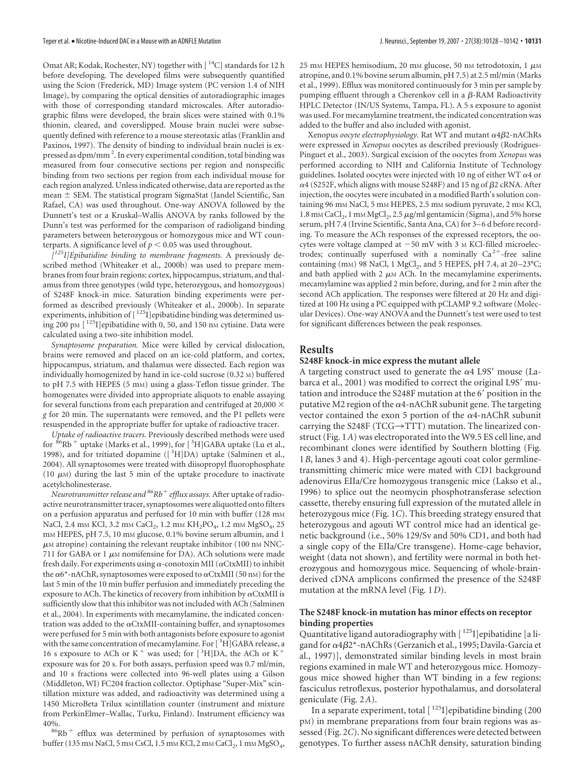Omat AR; Kodak, Rochester, NY) together with [ $^{14}$ C] standards for 12 h before developing. The developed films were subsequently quantified using the Scion (Frederick, MD) Image system (PC version 1.4 of NIH Image), by comparing the optical densities of autoradiographic images with those of corresponding standard microscales. After autoradiographic films were developed, the brain slices were stained with 0.1% thionin, cleared, and coverslipped. Mouse brain nuclei were subsequently defined with reference to a mouse stereotaxic atlas (Franklin and Paxinos, 1997). The density of binding to individual brain nuclei is expressed as dpm/mm<sup>2</sup>. In every experimental condition, total binding was measured from four consecutive sections per region and nonspecific binding from two sections per region from each individual mouse for each region analyzed. Unless indicated otherwise, data are reported as the mean  $\pm$  SEM. The statistical program SigmaStat (Jandel Scientific, San Rafael, CA) was used throughout. One-way ANOVA followed by the Dunnett's test or a Kruskal–Wallis ANOVA by ranks followed by the Dunn's test was performed for the comparison of radioligand binding parameters between heterozygous or homozygous mice and WT counterparts. A significance level of  $p < 0.05$  was used throughout.

*[ 125I]Epibatidine binding to membrane fragments.* A previously described method (Whiteaker et al., 2000b) was used to prepare membranes from four brain regions: cortex, hippocampus, striatum, and thalamus from three genotypes (wild type, heterozygous, and homozygous) of S248F knock-in mice. Saturation binding experiments were performed as described previously (Whiteaker et al., 2000b). In separate experiments, inhibition of [1251] epibatidine binding was determined using 200 pM [<sup>125</sup>I]epibatidine with 0, 50, and 150 nM cytisine. Data were calculated using a two-site inhibition model.

*Synaptosome preparation.* Mice were killed by cervical dislocation, brains were removed and placed on an ice-cold platform, and cortex, hippocampus, striatum, and thalamus were dissected. Each region was individually homogenized by hand in ice-cold sucrose (0.32 M) buffered to pH 7.5 with HEPES (5 mM) using a glass-Teflon tissue grinder. The homogenates were divided into appropriate aliquots to enable assaying for several functions from each preparation and centrifuged at 20,000  $\times$ *g* for 20 min. The supernatants were removed, and the P1 pellets were resuspended in the appropriate buffer for uptake of radioactive tracer.

*Uptake of radioactive tracers.* Previously described methods were used for  ${}^{86}\text{Rb}^+$  uptake (Marks et al., 1999), for [ ${}^{3}\text{H}]$ GABA uptake (Lu et al., 1998), and for tritiated dopamine ([<sup>3</sup>H]DA) uptake (Salminen et al., 2004). All synaptosomes were treated with diisopropyl fluorophosphate (10  $\mu$ M) during the last 5 min of the uptake procedure to inactivate acetylcholinesterase.

*Neurotransmitter release and 86Rb efflux assays.* After uptake of radioactive neurotransmitter tracer, synaptosomes were aliquotted onto filters on a perfusion apparatus and perfused for 10 min with buffer (128 mm NaCl, 2.4 mm KCl, 3.2 mm CaCl<sub>2</sub>, 1.2 mm KH<sub>2</sub>PO<sub>4</sub>, 1.2 mm MgSO<sub>4</sub>, 25 mM HEPES, pH 7.5, 10 mM glucose, 0.1% bovine serum albumin, and 1  $\mu$ M atropine) containing the relevant reuptake inhibitor (100 nm NNC-711 for GABA or 1  $\mu$ M nomifensine for DA). ACh solutions were made fresh daily. For experiments using  $\alpha$ -conotoxin MII ( $\alpha$ CtxMII) to inhibit the  $\alpha$ 6<sup>\*</sup>-nAChR, synaptosomes were exposed to  $\alpha$ CtxMII (50 nm) for the last 5 min of the 10 min buffer perfusion and immediately preceding the exposure to ACh. The kinetics of recovery from inhibition by  $\alpha$ CtxMII is sufficiently slow that this inhibitor was not included with ACh (Salminen et al., 2004). In experiments with mecamylamine, the indicated concentration was added to the  $\alpha$ CtxMII-containing buffer, and synaptosomes were perfused for 5 min with both antagonists before exposure to agonist with the same concentration of mecamylamine. For [3H]GABA release, a 16 s exposure to ACh or K<sup>+</sup> was used; for  $[^3H]DA$ , the ACh or K<sup>+</sup> exposure was for 20 s. For both assays, perfusion speed was 0.7 ml/min, and 10 s fractions were collected into 96-well plates using a Gilson (Middleton, WI) FC204 fraction collector. Optiphase "Super-Mix" scintillation mixture was added, and radioactivity was determined using a 1450 MicroBeta Trilux scintillation counter (instrument and mixture from PerkinElmer–Wallac, Turku, Finland). Instrument efficiency was

40%.<br> $86Rb + efflux$  was determined by perfusion of synaptosomes with buffer (135 mm NaCl, 5 mm CsCl, 1.5 mm KCl, 2 mm CaCl<sub>2</sub>, 1 mm MgSO<sub>4</sub>,

25 mm HEPES hemisodium, 20 mm glucose, 50 nm tetrodotoxin, 1  $\mu$ M atropine, and 0.1% bovine serum albumin, pH 7.5) at 2.5 ml/min (Marks et al., 1999). Efflux was monitored continuously for 3 min per sample by pumping effluent through a Cherenkov cell in a  $\beta$ -RAM Radioactivity HPLC Detector (IN/US Systems, Tampa, FL). A 5 s exposure to agonist was used. For mecamylamine treatment, the indicated concentration was added to the buffer and also included with agonist.

Xenopus *oocyte electrophysiology*. Rat WT and mutant α4β2-nAChRs were expressed in *Xenopus* oocytes as described previously (Rodrigues-Pinguet et al., 2003). Surgical excision of the oocytes from *Xenopus* was performed according to NIH and California Institute of Technology guidelines. Isolated oocytes were injected with 10 ng of either WT  $\alpha$ 4 or  $\alpha$ 4 (S252F, which aligns with mouse S248F) and 15 ng of  $\beta$ 2 cRNA. After injection, the oocytes were incubated in a modified Barth's solution containing 96 mm NaCl, 5 mm HEPES, 2.5 mm sodium pyruvate, 2 mm KCl, 1.8 mm CaCl<sub>2</sub>, 1 mm MgCl<sub>2</sub>, 2.5  $\mu$ g/ml gentamicin (Sigma), and 5% horse serum, pH 7.4 (Irvine Scientific, Santa Ana, CA) for 3– 6 d before recording. To measure the ACh responses of the expressed receptors, the oocytes were voltage clamped at  $-50$  mV with 3 M KCl-filled microelectrodes; continually superfused with a nominally  $Ca^{2+}$ -free saline containing (mM) 98 NaCl, 1 MgCl<sub>2</sub>, and 5 HEPES, pH 7.4, at 20 $-23^{\circ}$ C; and bath applied with  $2 \mu M$  ACh. In the mecamylamine experiments, mecamylamine was applied 2 min before, during, and for 2 min after the second ACh application. The responses were filtered at 20 Hz and digitized at 100 Hz using a PC equipped with pCLAMP 9.2 software (Molecular Devices). One-way ANOVA and the Dunnett's test were used to test for significant differences between the peak responses.

# **Results**

# **S248F knock-in mice express the mutant allele**

A targeting construct used to generate the  $\alpha$ 4 L9S' mouse (Labarca et al., 2001) was modified to correct the original L9S' mutation and introduce the S248F mutation at the 6' position in the putative M2 region of the  $\alpha$ 4-nAChR subunit gene. The targeting vector contained the exon 5 portion of the  $\alpha$ 4-nAChR subunit carrying the S248F (TCG $\rightarrow$ TTT) mutation. The linearized construct (Fig. 1*A*) was electroporated into the W9.5 ES cell line, and recombinant clones were identified by Southern blotting (Fig. 1*B*, lanes 3 and 4). High-percentage agouti coat color germlinetransmitting chimeric mice were mated with CD1 background adenovirus EIIa/Cre homozygous transgenic mice (Lakso et al., 1996) to splice out the neomycin phosphotransferase selection cassette, thereby ensuring full expression of the mutated allele in heterozygous mice (Fig. 1*C*). This breeding strategy ensured that heterozygous and agouti WT control mice had an identical genetic background (i.e., 50% 129/Sv and 50% CD1, and both had a single copy of the EIIa/Cre transgene). Home-cage behavior, weight (data not shown), and fertility were normal in both heterozygous and homozygous mice. Sequencing of whole-brainderived cDNA amplicons confirmed the presence of the S248F mutation at the mRNA level (Fig. 1*D*).

# **The S248F knock-in mutation has minor effects on receptor binding properties**

Quantitative ligand autoradiography with [125] epibatidine [a ligand for  $\alpha$ 4 $\beta$ 2\*-nAChRs (Gerzanich et al., 1995; Davila-Garcia et al., 1997)], demonstrated similar binding levels in most brain regions examined in male WT and heterozygous mice. Homozygous mice showed higher than WT binding in a few regions: fasciculus retroflexus, posterior hypothalamus, and dorsolateral geniculate (Fig. 2*A*).

In a separate experiment, total  $\lceil 1^{25}I \rceil$ epibatidine binding (200 pM) in membrane preparations from four brain regions was assessed (Fig. 2*C*). No significant differences were detected between genotypes. To further assess nAChR density, saturation binding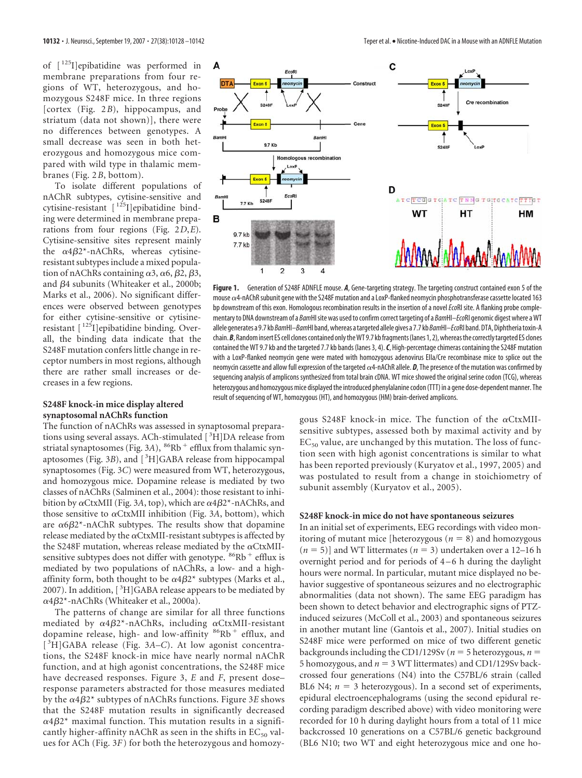of [ 125I]epibatidine was performed in membrane preparations from four regions of WT, heterozygous, and homozygous S248F mice. In three regions [cortex (Fig. 2*B*), hippocampus, and striatum (data not shown)], there were no differences between genotypes. A small decrease was seen in both heterozygous and homozygous mice compared with wild type in thalamic membranes (Fig. 2*B*, bottom).

To isolate different populations of nAChR subtypes, cytisine-sensitive and cytisine-resistant [125]epibatidine binding were determined in membrane preparations from four regions (Fig. 2*D*,*E*). Cytisine-sensitive sites represent mainly the  $\alpha$ 4 $\beta$ 2\*-nAChRs, whereas cytisineresistant subtypes include a mixed population of nAChRs containing  $\alpha$ 3,  $\alpha$ 6,  $\beta$ 2,  $\beta$ 3, and  $\beta$ 4 subunits (Whiteaker et al., 2000b; Marks et al., 2006). No significant differences were observed between genotypes for either cytisine-sensitive or cytisineresistant [ 125I]epibatidine binding. Overall, the binding data indicate that the S248F mutation confers little change in receptor numbers in most regions, although there are rather small increases or decreases in a few regions.

# **S248F knock-in mice display altered synaptosomal nAChRs function**

The function of nAChRs was assessed in synaptosomal preparations using several assays. ACh-stimulated [<sup>3</sup>H]DA release from striatal synaptosomes (Fig. 3A),  ${}^{86}Rb$ <sup>+</sup> efflux from thalamic synaptosomes (Fig. 3B), and [<sup>3</sup>H]GABA release from hippocampal synaptosomes (Fig. 3*C*) were measured from WT, heterozygous, and homozygous mice. Dopamine release is mediated by two classes of nAChRs (Salminen et al., 2004): those resistant to inhibition by  $\alpha$ CtxMII (Fig. 3A, top), which are  $\alpha$ 4 $\beta$ 2\*-nAChRs, and those sensitive to  $\alpha$ CtxMII inhibition (Fig. 3A, bottom), which are  $\alpha$ 6 $\beta$ 2\*-nAChR subtypes. The results show that dopamine release mediated by the  $\alpha$ CtxMII-resistant subtypes is affected by the S248F mutation, whereas release mediated by the  $\alpha$ CtxMIIsensitive subtypes does not differ with genotype.  $86Rb + eff$  efflux is mediated by two populations of nAChRs, a low- and a highaffinity form, both thought to be  $\alpha 4 \beta 2^*$  subtypes (Marks et al., 2007). In addition, [<sup>3</sup>H]GABA release appears to be mediated by α4β2\*-nAChRs (Whiteaker et al., 2000a).

The patterns of change are similar for all three functions mediated by  $\alpha 4 \beta 2^*$ -nAChRs, including  $\alpha$ CtxMII-resistant dopamine release, high- and low-affinity  $86Rb + efflux$ , and [ 3 H]GABA release (Fig. 3*A–C*). At low agonist concentrations, the S248F knock-in mice have nearly normal nAChR function, and at high agonist concentrations, the S248F mice have decreased responses. Figure 3, *E* and *F*, present dose– response parameters abstracted for those measures mediated by the α4β2\* subtypes of nAChRs functions. Figure 3*E* shows that the S248F mutation results in significantly decreased  $\alpha$ 4 $\beta$ 2\* maximal function. This mutation results in a significantly higher-affinity nAChR as seen in the shifts in  $EC_{50}$  values for ACh (Fig. 3*F*) for both the heterozygous and homozy-



**Figure 1.** Generation of S248F ADNFLE mouse. *A*, Gene-targeting strategy. The targeting construct contained exon 5 of the mouse  $\alpha$ 4-nAChR subunit gene with the S248F mutation and a LoxP-flanked neomycin phosphotransferase cassette located 163 bp downstream of this exon. Homologous recombination results in the insertion of a novel*Eco*RI site. A flanking probe complementary to DNA downstream of a *Bam*HIsite was used to confirm correct targeting of a *Bam*HI*–Eco*RI genomic digest where aWT allele generates a 9.7 kb *Bam*HI*–Bam*HI band,whereas atargeted allele gives a 7.7 kb *Bam*HI*–Eco*RI band.DTA,Diphtheriatoxin-A chain. **B**, Random insert ES cell clones contained only the WT 9.7 kb fragments (lanes 1, 2), whereas the correctly targeted ES clones contained the WT 9.7 kb and the targeted 7.7 kb bands (lanes 3, 4).*C*, High-percentage chimeras containing the S248F mutation with a LoxP-flanked neomycin gene were mated with homozygous adenovirus EIIa/Cre recombinase mice to splice out the neomycin cassette and allow full expression of the targeted  $\alpha$ 4-nAChR allele. *D*, The presence of the mutation was confirmed by sequencing analysis of amplicons synthesized from total brain cDNA. WT mice showed the original serine codon (TCG), whereas heterozygous and homozygous mice displayed the introduced phenylalanine codon (TTT) in a gene dose-dependent manner. The result of sequencing of WT, homozygous (HT), and homozygous (HM) brain-derived amplicons.

gous S248F knock-in mice. The function of the  $\alpha$ CtxMIIsensitive subtypes, assessed both by maximal activity and by  $EC_{50}$  value, are unchanged by this mutation. The loss of function seen with high agonist concentrations is similar to what has been reported previously (Kuryatov et al., 1997, 2005) and was postulated to result from a change in stoichiometry of subunit assembly (Kuryatov et al., 2005).

#### **S248F knock-in mice do not have spontaneous seizures**

In an initial set of experiments, EEG recordings with video monitoring of mutant mice [heterozygous  $(n = 8)$  and homozygous  $(n = 5)$ ] and WT littermates  $(n = 3)$  undertaken over a 12–16 h overnight period and for periods of 4 –6 h during the daylight hours were normal. In particular, mutant mice displayed no behavior suggestive of spontaneous seizures and no electrographic abnormalities (data not shown). The same EEG paradigm has been shown to detect behavior and electrographic signs of PTZinduced seizures (McColl et al., 2003) and spontaneous seizures in another mutant line (Gantois et al., 2007). Initial studies on S248F mice were performed on mice of two different genetic backgrounds including the CD1/129Sv ( $n = 5$  heterozygous,  $n =$ 5 homozygous, and  $n = 3$  WT littermates) and CD1/129Sv backcrossed four generations (N4) into the C57BL/6 strain (called BL6 N4;  $n = 3$  heterozygous). In a second set of experiments, epidural electroencephalograms (using the second epidural recording paradigm described above) with video monitoring were recorded for 10 h during daylight hours from a total of 11 mice backcrossed 10 generations on a C57BL/6 genetic background (BL6 N10; two WT and eight heterozygous mice and one ho-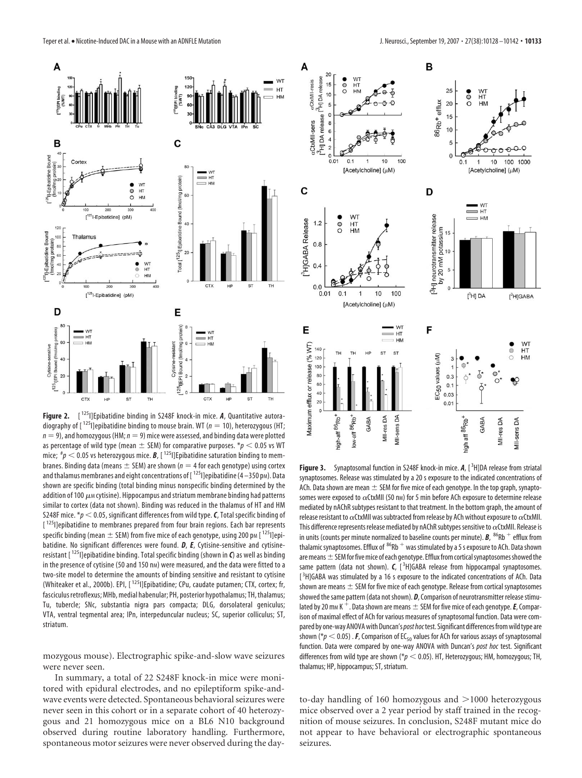

**Figure 2.** [ 125I]Epibatidine binding in S248F knock-in mice. *A*, Quantitative autoradiography of  $[1^{25}]$ epibatidine binding to mouse brain. WT ( $n = 10$ ), heterozygous (HT;  $n = 9$ ), and homozygous (HM;  $n = 9$ ) mice were assessed, and binding data were plotted as percentage of wild type (mean  $\pm$  SEM) for comparative purposes.  $p < 0.05$  vs WT mice;  ${}^{t\!} p < 0.05$  vs heterozygous mice. **B**, [  $^{125}$  ] Epibatidine saturation binding to membranes. Binding data (means  $\pm$  SEM) are shown ( $n = 4$  for each genotype) using cortex and thalamus membranes and eight concentrations of  $[125]$ epibatidine (4 – 350 pm). Data shown are specific binding (total binding minus nonspecific binding determined by the addition of 100  $\mu$ M cytisine). Hippocampus and striatum membrane binding had patterns similar to cortex (data not shown). Binding was reduced in the thalamus of HT and HM S248F mice.  $*_p$  < 0.05, significant differences from wild type. C, Total specific binding of [<sup>125</sup>]]epibatidine to membranes prepared from four brain regions. Each bar represents specific binding (mean  $\pm$  SEM) from five mice of each genotype, using 200 pm [  $^{125}$ l]epibatidine. No significant differences were found. *D*, *E*, Cytisine-sensitive and cytisineresistant [ 125I]epibatidine binding. Total specific binding (shown in *C*) as well as binding in the presence of cytisine (50 and 150 nm) were measured, and the data were fitted to a two-site model to determine the amounts of binding sensitive and resistant to cytisine (Whiteaker et al., 2000b). EPI, [ 125I]Epibatidine; CPu, caudate putamen; CTX, cortex; fr, fasciculus retroflexus; MHb, medial habenular; PH, posterior hypothalamus; TH, thalamus; Tu, tubercle; SNc, substantia nigra pars compacta; DLG, dorsolateral geniculus; VTA, ventral tegmental area; IPn, interpeduncular nucleus; SC, superior colliculus; ST, striatum.

mozygous mouse). Electrographic spike-and-slow wave seizures were never seen.

In summary, a total of 22 S248F knock-in mice were monitored with epidural electrodes, and no epileptiform spike-andwave events were detected. Spontaneous behavioral seizures were never seen in this cohort or in a separate cohort of 40 heterozygous and 21 homozygous mice on a BL6 N10 background observed during routine laboratory handling. Furthermore, spontaneous motor seizures were never observed during the day-



Figure 3. Synaptosomal function in S248F knock-in mice. A, [<sup>3</sup>H]DA release from striatal synaptosomes. Release was stimulated by a 20 s exposure to the indicated concentrations of ACh. Data shown are mean  $\pm$  SEM for five mice of each genotype. In the top graph, synaptosomes were exposed to  $\alpha$ CtxMII (50 nm) for 5 min before ACh exposure to determine release mediated by nAChR subtypes resistant to that treatment. In the bottom graph, the amount of release resistant to  $\alpha$ CtxMII was subtracted from release by ACh without exposure to  $\alpha$ CtxMII. This difference represents release mediated by nAChR subtypes sensitive to  $\alpha$ CtxMII. Release is in units (counts per minute normalized to baseline counts per minute).  $B$ ,  $86Rb + eff$  efflux from thalamic synaptosomes. Efflux of  ${}^{86}$ Rb  ${}^{+}$  was stimulated by a 5 s exposure to ACh. Data shown are means  $\pm$  SEM for five mice of each genotype. Efflux from cortical synaptosomes showed the same pattern (data not shown). *C*, [<sup>3</sup>H]GABA release from hippocampal synaptosomes. [<sup>3</sup>H]GABA was stimulated by a 16 s exposure to the indicated concentrations of ACh. Data shown are means  $\pm$  SEM for five mice of each genotype. Release from cortical synaptosomes showed the same pattern (data not shown). *D*, Comparison of neurotransmitter release stimulated by 20 mm K<sup>+</sup>. Data shown are means  $\pm$  SEM for five mice of each genotype. *E*, Comparison of maximal effect of ACh for various measures of synaptosomal function. Data were compared by one-way ANOVA with Duncan's post hoc test. Significant differences from wild type are shown ( $p < 0.05$ ) . **F**, Comparison of EC<sub>50</sub> values for ACh for various assays of synaptosomal function. Data were compared by one-way ANOVA with Duncan's *post hoc* test. Significant differences from wild type are shown (\* $p < 0.05$ ). HT, Heterozygous; HM, homozygous; TH, thalamus; HP, hippocampus; ST, striatum.

to-day handling of 160 homozygous and  $>1000$  heterozygous mice observed over a 2 year period by staff trained in the recognition of mouse seizures. In conclusion, S248F mutant mice do not appear to have behavioral or electrographic spontaneous seizures.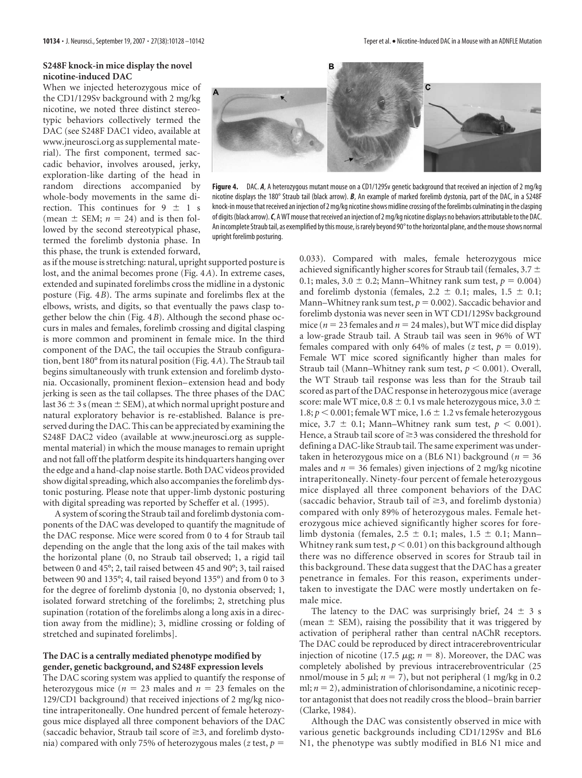# **S248F knock-in mice display the novel nicotine-induced DAC**

When we injected heterozygous mice of the CD1/129Sv background with 2 mg/kg nicotine, we noted three distinct stereotypic behaviors collectively termed the DAC (see S248F DAC1 video, available at www.jneurosci.org as supplemental material). The first component, termed saccadic behavior, involves aroused, jerky, exploration-like darting of the head in random directions accompanied by whole-body movements in the same direction. This continues for  $9 \pm 1$  s (mean  $\pm$  SEM;  $n = 24$ ) and is then followed by the second stereotypical phase, termed the forelimb dystonia phase. In this phase, the trunk is extended forward,



**Figure 4.** DAC. *A*, A heterozygous mutant mouse on a CD1/129Sv genetic background that received an injection of 2 mg/kg nicotine displays the 180° Straub tail (black arrow). *B*, An example of marked forelimb dystonia, part of the DAC, in a S248F knock-in mouse that received an injection of 2 mg/kg nicotine shows midline crossing of the forelimbs culminating in the clasping of digits (black arrow). C, AWT mouse that received an injection of 2 mg/kg nicotine displays no behaviors attributable to the DAC. An incomplete Straub tail, as exemplified by this mouse, is rarely beyond 90° to the horizontal plane, and the mouse shows normal upright forelimb posturing.

as if the mouse is stretching: natural, upright supported posture is lost, and the animal becomes prone (Fig. 4*A*). In extreme cases, extended and supinated forelimbs cross the midline in a dystonic posture (Fig. 4*B*). The arms supinate and forelimbs flex at the elbows, wrists, and digits, so that eventually the paws clasp together below the chin (Fig. 4*B*). Although the second phase occurs in males and females, forelimb crossing and digital clasping is more common and prominent in female mice. In the third component of the DAC, the tail occupies the Straub configuration, bent 180° from its natural position (Fig. 4*A*). The Straub tail begins simultaneously with trunk extension and forelimb dystonia. Occasionally, prominent flexion– extension head and body jerking is seen as the tail collapses. The three phases of the DAC last  $36 \pm 3$  s (mean  $\pm$  SEM), at which normal upright posture and natural exploratory behavior is re-established. Balance is preserved during the DAC. This can be appreciated by examining the S248F DAC2 video (available at www.jneurosci.org as supplemental material) in which the mouse manages to remain upright and not fall off the platform despite its hindquarters hanging over the edge and a hand-clap noise startle. Both DAC videos provided show digital spreading, which also accompanies the forelimb dystonic posturing. Please note that upper-limb dystonic posturing with digital spreading was reported by Scheffer et al. (1995).

A system of scoring the Straub tail and forelimb dystonia components of the DAC was developed to quantify the magnitude of the DAC response. Mice were scored from 0 to 4 for Straub tail depending on the angle that the long axis of the tail makes with the horizontal plane (0, no Straub tail observed; 1, a rigid tail between 0 and 45°; 2, tail raised between 45 and 90°; 3, tail raised between 90 and 135°; 4, tail raised beyond 135°) and from 0 to 3 for the degree of forelimb dystonia [0, no dystonia observed; 1, isolated forward stretching of the forelimbs; 2, stretching plus supination (rotation of the forelimbs along a long axis in a direction away from the midline); 3, midline crossing or folding of stretched and supinated forelimbs].

# **The DAC is a centrally mediated phenotype modified by gender, genetic background, and S248F expression levels**

The DAC scoring system was applied to quantify the response of heterozygous mice ( $n = 23$  males and  $n = 23$  females on the 129/CD1 background) that received injections of 2 mg/kg nicotine intraperitoneally. One hundred percent of female heterozygous mice displayed all three component behaviors of the DAC (saccadic behavior, Straub tail score of  $\geq$ 3, and forelimb dystonia) compared with only 75% of heterozygous males ( $z$  test,  $p =$ 

0.033). Compared with males, female heterozygous mice achieved significantly higher scores for Straub tail (females, 3.7  $\pm$ 0.1; males,  $3.0 \pm 0.2$ ; Mann–Whitney rank sum test,  $p = 0.004$ ) and forelimb dystonia (females,  $2.2 \pm 0.1$ ; males,  $1.5 \pm 0.1$ ; Mann–Whitney rank sum test,  $p = 0.002$ ). Saccadic behavior and forelimb dystonia was never seen in WT CD1/129Sv background mice ( $n = 23$  females and  $n = 24$  males), but WT mice did display a low-grade Straub tail. A Straub tail was seen in 96% of WT females compared with only 64% of males (*z* test,  $p = 0.019$ ). Female WT mice scored significantly higher than males for Straub tail (Mann–Whitney rank sum test,  $p < 0.001$ ). Overall, the WT Straub tail response was less than for the Straub tail scored as part of the DAC response in heterozygous mice (average score: male WT mice,  $0.8 \pm 0.1$  vs male heterozygous mice,  $3.0 \pm$ 1.8;  $p < 0.001$ ; female WT mice,  $1.6 \pm 1.2$  vs female heterozygous mice,  $3.7 \pm 0.1$ ; Mann–Whitney rank sum test,  $p < 0.001$ ). Hence, a Straub tail score of  $\geq$ 3 was considered the threshold for defining a DAC-like Straub tail. The same experiment was undertaken in heterozygous mice on a (BL6 N1) background ( $n = 36$ males and  $n = 36$  females) given injections of 2 mg/kg nicotine intraperitoneally. Ninety-four percent of female heterozygous mice displayed all three component behaviors of the DAC (saccadic behavior, Straub tail of  $\geq$ 3, and forelimb dystonia) compared with only 89% of heterozygous males. Female heterozygous mice achieved significantly higher scores for forelimb dystonia (females,  $2.5 \pm 0.1$ ; males,  $1.5 \pm 0.1$ ; Mann– Whitney rank sum test,  $p < 0.01$ ) on this background although there was no difference observed in scores for Straub tail in this background. These data suggest that the DAC has a greater penetrance in females. For this reason, experiments undertaken to investigate the DAC were mostly undertaken on female mice.

The latency to the DAC was surprisingly brief,  $24 \pm 3$  s (mean  $\pm$  SEM), raising the possibility that it was triggered by activation of peripheral rather than central nAChR receptors. The DAC could be reproduced by direct intracerebroventricular injection of nicotine (17.5  $\mu$ g;  $n = 8$ ). Moreover, the DAC was completely abolished by previous intracerebroventricular (25 nmol/mouse in 5  $\mu$ l;  $n = 7$ ), but not peripheral (1 mg/kg in 0.2 ml;  $n = 2$ ), administration of chlorisondamine, a nicotinic receptor antagonist that does not readily cross the blood– brain barrier (Clarke, 1984).

Although the DAC was consistently observed in mice with various genetic backgrounds including CD1/129Sv and BL6 N1, the phenotype was subtly modified in BL6 N1 mice and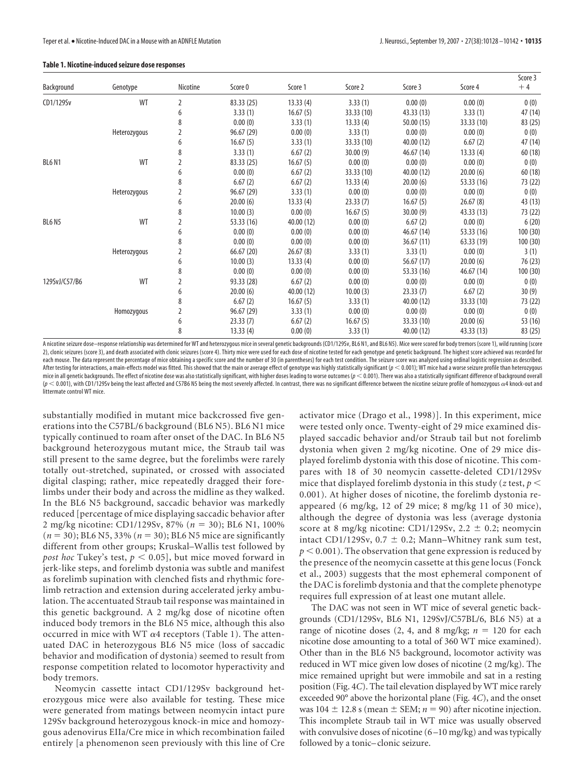#### **Table 1. Nicotine-induced seizure dose responses**

| Background    | Genotype     | Nicotine       | Score 0    | Score 1    | Score 2    | Score 3    | Score 4    | Score 3<br>$+4$ |
|---------------|--------------|----------------|------------|------------|------------|------------|------------|-----------------|
|               |              |                |            |            |            |            |            |                 |
|               | 6            | 3.33(1)        | 16.67(5)   | 33.33 (10) | 43.33 (13) | 3.33(1)    | 47 (14)    |                 |
|               | 8            | 0.00(0)        | 3.33(1)    | 13.33(4)   | 50.00 (15) | 33.33 (10) | 83 (25)    |                 |
| Heterozygous  | 2            | 96.67 (29)     | 0.00(0)    | 3.33(1)    | 0.00(0)    | 0.00(0)    | 0(0)       |                 |
|               | 6            | 16.67(5)       | 3.33(1)    | 33.33 (10) | 40.00 (12) | 6.67(2)    | 47 (14)    |                 |
|               | 8            | 3.33(1)        | 6.67(2)    | 30.00(9)   | 46.67 (14) | 13.33(4)   | 60(18)     |                 |
| <b>BL6 N1</b> | WT           | 2              | 83.33 (25) | 16.67(5)   | 0.00(0)    | 0.00(0)    | 0.00(0)    | 0(0)            |
|               |              | 6              | 0.00(0)    | 6.67(2)    | 33.33 (10) | 40.00 (12) | 20.00(6)   | 60(18)          |
|               |              | 8              | 6.67(2)    | 6.67(2)    | 13.33(4)   | 20.00(6)   | 53.33 (16) | 73 (22)         |
|               | Heterozygous | 2              | 96.67 (29) | 3.33(1)    | 0.00(0)    | 0.00(0)    | 0.00(0)    | 0(0)            |
|               |              | 6              | 20.00(6)   | 13.33(4)   | 23.33(7)   | 16.67(5)   | 26.67(8)   | 43 (13)         |
|               |              | 8              | 10.00(3)   | 0.00(0)    | 16.67(5)   | 30.00(9)   | 43.33 (13) | 73 (22)         |
| <b>BL6 N5</b> | WT           | $\overline{2}$ | 53.33 (16) | 40.00 (12) | 0.00(0)    | 6.67(2)    | 0.00(0)    | 6(20)           |
|               |              | 6              | 0.00(0)    | 0.00(0)    | 0.00(0)    | 46.67 (14) | 53.33 (16) | 100(30)         |
|               |              | 8              | 0.00(0)    | 0.00(0)    | 0.00(0)    | 36.67(11)  | 63.33 (19) | 100(30)         |
|               | Heterozygous | 2              | 66.67(20)  | 26.67(8)   | 3.33(1)    | 3.33(1)    | 0.00(0)    | 3(1)            |
|               |              | 6              | 10.00(3)   | 13.33(4)   | 0.00(0)    | 56.67(17)  | 20.00(6)   | 76 (23)         |
|               |              | 8              | 0.00(0)    | 0.00(0)    | 0.00(0)    | 53.33 (16) | 46.67 (14) | 100(30)         |
| 129SvJ/C57/B6 | WT           | 2              | 93.33 (28) | 6.67(2)    | 0.00(0)    | 0.00(0)    | 0.00(0)    | 0(0)            |
|               |              | 6              | 20.00(6)   | 40.00 (12) | 10.00(3)   | 23.33(7)   | 6.67(2)    | 30(9)           |
|               |              | 8              | 6.67(2)    | 16.67(5)   | 3.33(1)    | 40.00 (12) | 33.33 (10) | 73 (22)         |
|               | Homozygous   | 2              | 96.67 (29) | 3.33(1)    | 0.00(0)    | 0.00(0)    | 0.00(0)    | 0(0)            |
|               |              | 6              | 23.33(7)   | 6.67(2)    | 16.67(5)   | 33.33 (10) | 20.00(6)   | 53 (16)         |
|               |              | 8              | 13.33(4)   | 0.00(0)    | 3.33(1)    | 40.00 (12) | 43.33 (13) | 83 (25)         |

A nicotineseizure dose–response relationship was determined for WT and heterozygous mice inseveral genetic backgrounds (CD1/129Sv, BL6 N1, and BL6 N5). Mice werescored for body tremors (score 1), wild running (score 2), clonic seizures (score 3), and death associated with clonic seizures (score 4). Thirty mice were used for each dose of nicotine tested for each genotype and genetic background. The highest score achieved was recorded f each mouse. The data represent the percentage of mice obtaining a specific score and the number of 30 (in parentheses) for each test condition. The seizure score was analyzed using ordinal logistic regression as described. After testing for interactions, a main-effects model was fitted. This showed that the main or average effect of genotype was highly statistically significant ( $\rho < 0.001$ ); WT mice had a worse seizure profile than heteroz mice in all genetic backgrounds. The effect of nicotine dose was also statistically significant, with higher doses leading to worse outcomes (p < 0.001). There was also statistically significant difference of background ov (*p* 0.001), with CD1/129Sv being the least affected and C57B6 N5 being the most severely affected. In contrast, there was no significant difference between the nicotine seizure profile of homozygous 4 knock-out and littermate control WT mice.

substantially modified in mutant mice backcrossed five generations into the C57BL/6 background (BL6 N5). BL6 N1 mice typically continued to roam after onset of the DAC. In BL6 N5 background heterozygous mutant mice, the Straub tail was still present to the same degree, but the forelimbs were rarely totally out-stretched, supinated, or crossed with associated digital clasping; rather, mice repeatedly dragged their forelimbs under their body and across the midline as they walked. In the BL6 N5 background, saccadic behavior was markedly reduced [percentage of mice displaying saccadic behavior after 2 mg/kg nicotine: CD1/129Sv, 87% ( $n = 30$ ); BL6 N1, 100%  $(n = 30)$ ; BL6 N5, 33%  $(n = 30)$ ; BL6 N5 mice are significantly different from other groups; Kruskal–Wallis test followed by *post hoc* Tukey's test,  $p < 0.05$ ], but mice moved forward in jerk-like steps, and forelimb dystonia was subtle and manifest as forelimb supination with clenched fists and rhythmic forelimb retraction and extension during accelerated jerky ambulation. The accentuated Straub tail response was maintained in this genetic background. A 2 mg/kg dose of nicotine often induced body tremors in the BL6 N5 mice, although this also occurred in mice with WT  $\alpha$ 4 receptors (Table 1). The attenuated DAC in heterozygous BL6 N5 mice (loss of saccadic behavior and modification of dystonia) seemed to result from response competition related to locomotor hyperactivity and body tremors.

Neomycin cassette intact CD1/129Sv background heterozygous mice were also available for testing. These mice were generated from matings between neomycin intact pure 129Sv background heterozygous knock-in mice and homozygous adenovirus EIIa/Cre mice in which recombination failed entirely [a phenomenon seen previously with this line of Cre

activator mice (Drago et al., 1998)]. In this experiment, mice were tested only once. Twenty-eight of 29 mice examined displayed saccadic behavior and/or Straub tail but not forelimb dystonia when given 2 mg/kg nicotine. One of 29 mice displayed forelimb dystonia with this dose of nicotine. This compares with 18 of 30 neomycin cassette-deleted CD1/129Sv mice that displayed forelimb dystonia in this study ( $z$  test,  $p <$ 0.001). At higher doses of nicotine, the forelimb dystonia reappeared (6 mg/kg, 12 of 29 mice; 8 mg/kg 11 of 30 mice), although the degree of dystonia was less (average dystonia score at 8 mg/kg nicotine: CD1/129Sv,  $2.2 \pm 0.2$ ; neomycin intact CD1/129Sv,  $0.7 \pm 0.2$ ; Mann–Whitney rank sum test,  $p < 0.001$ ). The observation that gene expression is reduced by the presence of the neomycin cassette at this gene locus (Fonck et al., 2003) suggests that the most ephemeral component of the DAC is forelimb dystonia and that the complete phenotype requires full expression of at least one mutant allele.

The DAC was not seen in WT mice of several genetic backgrounds (CD1/129Sv, BL6 N1, 129SvJ/C57BL/6, BL6 N5) at a range of nicotine doses  $(2, 4, \text{ and } 8 \text{ mg/kg}; n = 120 \text{ for each})$ nicotine dose amounting to a total of 360 WT mice examined). Other than in the BL6 N5 background, locomotor activity was reduced in WT mice given low doses of nicotine (2 mg/kg). The mice remained upright but were immobile and sat in a resting position (Fig. 4*C*). The tail elevation displayed by WT mice rarely exceeded 90° above the horizontal plane (Fig. 4*C*), and the onset was  $104 \pm 12.8$  s (mean  $\pm$  SEM;  $n = 90$ ) after nicotine injection. This incomplete Straub tail in WT mice was usually observed with convulsive doses of nicotine (6–10 mg/kg) and was typically followed by a tonic– clonic seizure.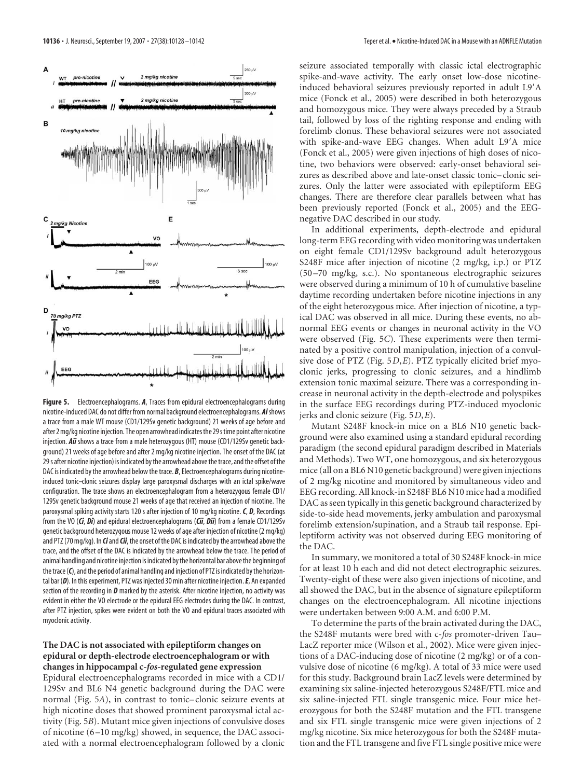

**Figure 5.** Electroencephalograms. *A*, Traces from epidural electroencephalograms during nicotine-induced DAC do not differ from normal background electroencephalograms. *Ai*shows a trace from a male WT mouse (CD1/129Sv genetic background) 21 weeks of age before and after 2 mg/kg nicotine injection. The open arrowhead indicates the 29 s time point after nicotine injection. *Aii* shows a trace from a male heterozygous (HT) mouse (CD1/129Sv genetic background) 21 weeks of age before and after 2 mg/kg nicotine injection. The onset of the DAC (at 29 s after nicotine injection) is indicated by the arrowhead above the trace, and the offset of the DAC is indicated by the arrowhead below the trace. *B*, Electroencephalograms during nicotineinduced tonic–clonic seizures display large paroxysmal discharges with an ictal spike/wave configuration. The trace shows an electroencephalogram from a heterozygous female CD1/ 129Sv genetic background mouse 21 weeks of age that received an injection of nicotine. The paroxysmal spiking activity starts 120 s after injection of 10 mg/kg nicotine.*C*, *D*, Recordings from the VO (*Ci*, *Di*) and epidural electroencephalograms (*Cii*, *Dii*) from a female CD1/129Sv genetic background heterozygous mouse 12 weeks of age after injection of nicotine (2 mg/kg) and PTZ (70 mg/kg). In *Ci*and*Cii*, the onset of the DAC is indicated by the arrowhead above the trace, and the offset of the DAC is indicated by the arrowhead below the trace. The period of animal handling and nicotine injection is indicated bythe horizontal bar abovethe beginning of the trace (C), and the period of animal handling and injection of PTZ is indicated by the horizontal bar (*D*). In this experiment, PTZ was injected 30 min after nicotine injection.*E*, An expanded section of the recording in *D* marked by the asterisk. After nicotine injection, no activity was evident in either the VO electrode or the epidural EEG electrodes during the DAC. In contrast, after PTZ injection, spikes were evident on both the VO and epidural traces associated with myoclonic activity.

# **The DAC is not associated with epileptiform changes on epidural or depth-electrode electroencephalogram or with changes in hippocampal c-***fos***-regulated gene expression**

Epidural electroencephalograms recorded in mice with a CD1/ 129Sv and BL6 N4 genetic background during the DAC were normal (Fig. 5*A*), in contrast to tonic– clonic seizure events at high nicotine doses that showed prominent paroxysmal ictal activity (Fig. 5*B*). Mutant mice given injections of convulsive doses of nicotine (6 –10 mg/kg) showed, in sequence, the DAC associated with a normal electroencephalogram followed by a clonic

seizure associated temporally with classic ictal electrographic spike-and-wave activity. The early onset low-dose nicotineinduced behavioral seizures previously reported in adult L9-A mice (Fonck et al., 2005) were described in both heterozygous and homozygous mice. They were always preceded by a Straub tail, followed by loss of the righting response and ending with forelimb clonus. These behavioral seizures were not associated with spike-and-wave EEG changes. When adult L9'A mice (Fonck et al., 2005) were given injections of high doses of nicotine, two behaviors were observed: early-onset behavioral seizures as described above and late-onset classic tonic– clonic seizures. Only the latter were associated with epileptiform EEG changes. There are therefore clear parallels between what has been previously reported (Fonck et al., 2005) and the EEGnegative DAC described in our study.

In additional experiments, depth-electrode and epidural long-term EEG recording with video monitoring was undertaken on eight female CD1/129Sv background adult heterozygous S248F mice after injection of nicotine (2 mg/kg, i.p.) or PTZ (50 –70 mg/kg, s.c.). No spontaneous electrographic seizures were observed during a minimum of 10 h of cumulative baseline daytime recording undertaken before nicotine injections in any of the eight heterozygous mice. After injection of nicotine, a typical DAC was observed in all mice. During these events, no abnormal EEG events or changes in neuronal activity in the VO were observed (Fig. 5*C*). These experiments were then terminated by a positive control manipulation, injection of a convulsive dose of PTZ (Fig. 5*D*,*E*). PTZ typically elicited brief myoclonic jerks, progressing to clonic seizures, and a hindlimb extension tonic maximal seizure. There was a corresponding increase in neuronal activity in the depth-electrode and polyspikes in the surface EEG recordings during PTZ-induced myoclonic jerks and clonic seizure (Fig. 5*D*,*E*).

Mutant S248F knock-in mice on a BL6 N10 genetic background were also examined using a standard epidural recording paradigm (the second epidural paradigm described in Materials and Methods). Two WT, one homozygous, and six heterozygous mice (all on a BL6 N10 genetic background) were given injections of 2 mg/kg nicotine and monitored by simultaneous video and EEG recording. All knock-in S248F BL6 N10 mice had a modified DAC as seen typically in this genetic background characterized by side-to-side head movements, jerky ambulation and paroxysmal forelimb extension/supination, and a Straub tail response. Epileptiform activity was not observed during EEG monitoring of the DAC.

In summary, we monitored a total of 30 S248F knock-in mice for at least 10 h each and did not detect electrographic seizures. Twenty-eight of these were also given injections of nicotine, and all showed the DAC, but in the absence of signature epileptiform changes on the electroencephalogram. All nicotine injections were undertaken between 9:00 A.M. and 6:00 P.M.

To determine the parts of the brain activated during the DAC, the S248F mutants were bred with c-*fos* promoter-driven Tau– LacZ reporter mice (Wilson et al., 2002). Mice were given injections of a DAC-inducing dose of nicotine (2 mg/kg) or of a convulsive dose of nicotine (6 mg/kg). A total of 33 mice were used for this study. Background brain LacZ levels were determined by examining six saline-injected heterozygous S248F/FTL mice and six saline-injected FTL single transgenic mice. Four mice heterozygous for both the S248F mutation and the FTL transgene and six FTL single transgenic mice were given injections of 2 mg/kg nicotine. Six mice heterozygous for both the S248F mutation and the FTL transgene and five FTL single positive mice were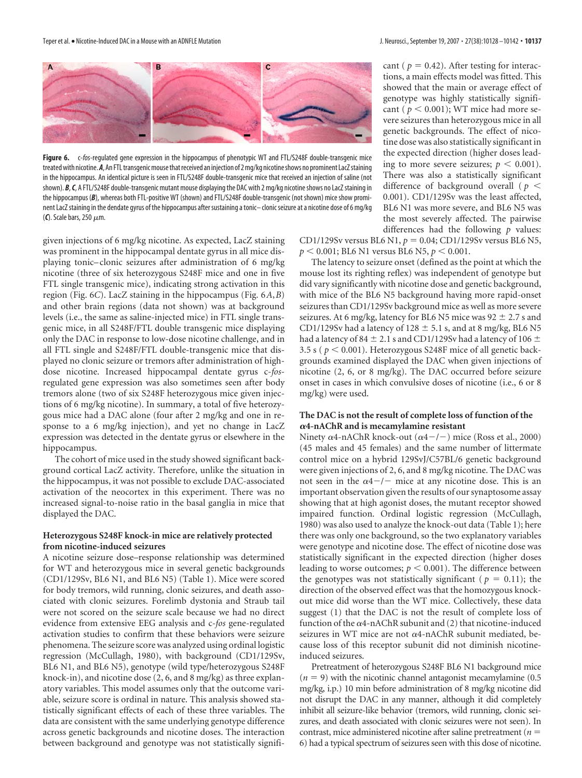

**Figure 6.** c-*fos*-regulated gene expression in the hippocampus of phenotypic WT and FTL/S248F double-transgenic mice treatedwith nicotine.*A*,An FTLtransgenicmousethatreceived an injection of 2mg/kg nicotineshows no prominent LacZstaining in the hippocampus. An identical picture is seen in FTL/S248F double-transgenic mice that received an injection of saline (not shown). *B*,*C*, A FTL/S248F double-transgenic mutant mouse displaying the DAC with 2 mg/kg nicotineshows no LacZstaining in the hippocampus (*B*), whereas both FTL-positive WT (shown) and FTL/S248F double-transgenic (not shown) mice show prominent LacZ staining in the dendate gyrus of the hippocampus after sustaining a tonic-clonic seizure at a nicotine dose of 6 mg/kg  $(C)$ . Scale bars, 250  $\mu$ m.

given injections of 6 mg/kg nicotine. As expected, LacZ staining was prominent in the hippocampal dentate gyrus in all mice displaying tonic– clonic seizures after administration of 6 mg/kg nicotine (three of six heterozygous S248F mice and one in five FTL single transgenic mice), indicating strong activation in this region (Fig. 6*C*). LacZ staining in the hippocampus (Fig. 6*A*,*B*) and other brain regions (data not shown) was at background levels (i.e., the same as saline-injected mice) in FTL single transgenic mice, in all S248F/FTL double transgenic mice displaying only the DAC in response to low-dose nicotine challenge, and in all FTL single and S248F/FTL double-transgenic mice that displayed no clonic seizure or tremors after administration of highdose nicotine. Increased hippocampal dentate gyrus c-*fos*regulated gene expression was also sometimes seen after body tremors alone (two of six S248F heterozygous mice given injections of 6 mg/kg nicotine). In summary, a total of five heterozygous mice had a DAC alone (four after 2 mg/kg and one in response to a 6 mg/kg injection), and yet no change in LacZ expression was detected in the dentate gyrus or elsewhere in the hippocampus.

The cohort of mice used in the study showed significant background cortical LacZ activity. Therefore, unlike the situation in the hippocampus, it was not possible to exclude DAC-associated activation of the neocortex in this experiment. There was no increased signal-to-noise ratio in the basal ganglia in mice that displayed the DAC.

## **Heterozygous S248F knock-in mice are relatively protected from nicotine-induced seizures**

A nicotine seizure dose–response relationship was determined for WT and heterozygous mice in several genetic backgrounds (CD1/129Sv, BL6 N1, and BL6 N5) (Table 1). Mice were scored for body tremors, wild running, clonic seizures, and death associated with clonic seizures. Forelimb dystonia and Straub tail were not scored on the seizure scale because we had no direct evidence from extensive EEG analysis and c-*fos* gene-regulated activation studies to confirm that these behaviors were seizure phenomena. The seizure score was analyzed using ordinal logistic regression (McCullagh, 1980), with background (CD1/129Sv, BL6 N1, and BL6 N5), genotype (wild type/heterozygous S248F knock-in), and nicotine dose (2, 6, and 8 mg/kg) as three explanatory variables. This model assumes only that the outcome variable, seizure score is ordinal in nature. This analysis showed statistically significant effects of each of these three variables. The data are consistent with the same underlying genotype difference across genetic backgrounds and nicotine doses. The interaction between background and genotype was not statistically significant ( $p = 0.42$ ). After testing for interactions, a main effects model was fitted. This showed that the main or average effect of genotype was highly statistically significant ( $p < 0.001$ ); WT mice had more severe seizures than heterozygous mice in all genetic backgrounds. The effect of nicotine dose was also statistically significant in the expected direction (higher doses leading to more severe seizures;  $p < 0.001$ ). There was also a statistically significant difference of background overall ( *p* 0.001). CD1/129Sv was the least affected, BL6 N1 was more severe, and BL6 N5 was the most severely affected. The pairwise differences had the following *p* values:

CD1/129Sv versus BL6 N1,  $p = 0.04$ ; CD1/129Sv versus BL6 N5,  $p < 0.001$ ; BL6 N1 versus BL6 N5,  $p < 0.001$ .

The latency to seizure onset (defined as the point at which the mouse lost its righting reflex) was independent of genotype but did vary significantly with nicotine dose and genetic background, with mice of the BL6 N5 background having more rapid-onset seizures than CD1/129Sv background mice as well as more severe seizures. At 6 mg/kg, latency for BL6 N5 mice was 92  $\pm$  2.7 s and CD1/129Sv had a latency of 128  $\pm$  5.1 s, and at 8 mg/kg, BL6 N5 had a latency of 84  $\pm$  2.1 s and CD1/129Sv had a latency of 106  $\pm$ 3.5 s ( $p < 0.001$ ). Heterozygous S248F mice of all genetic backgrounds examined displayed the DAC when given injections of nicotine (2, 6, or 8 mg/kg). The DAC occurred before seizure onset in cases in which convulsive doses of nicotine (i.e., 6 or 8 mg/kg) were used.

# **The DAC is not the result of complete loss of function of the 4-nAChR and is mecamylamine resistant**

Ninety  $\alpha$ 4-nAChR knock-out ( $\alpha$ 4-/-) mice (Ross et al., 2000) (45 males and 45 females) and the same number of littermate control mice on a hybrid 129SvJ/C57BL/6 genetic background were given injections of 2, 6, and 8 mg/kg nicotine. The DAC was not seen in the  $\alpha$ 4-/- mice at any nicotine dose. This is an important observation given the results of our synaptosome assay showing that at high agonist doses, the mutant receptor showed impaired function. Ordinal logistic regression (McCullagh, 1980) was also used to analyze the knock-out data (Table 1); here there was only one background, so the two explanatory variables were genotype and nicotine dose. The effect of nicotine dose was statistically significant in the expected direction (higher doses leading to worse outcomes;  $p < 0.001$ ). The difference between the genotypes was not statistically significant ( $p = 0.11$ ); the direction of the observed effect was that the homozygous knockout mice did worse than the WT mice. Collectively, these data suggest (1) that the DAC is not the result of complete loss of function of the  $\alpha$ 4-nAChR subunit and (2) that nicotine-induced seizures in WT mice are not  $\alpha$ 4-nAChR subunit mediated, because loss of this receptor subunit did not diminish nicotineinduced seizures.

Pretreatment of heterozygous S248F BL6 N1 background mice  $(n = 9)$  with the nicotinic channel antagonist mecamylamine  $(0.5)$ mg/kg, i.p.) 10 min before administration of 8 mg/kg nicotine did not disrupt the DAC in any manner, although it did completely inhibit all seizure-like behavior (tremors, wild running, clonic seizures, and death associated with clonic seizures were not seen). In contrast, mice administered nicotine after saline pretreatment (*n* 6) had a typical spectrum of seizures seen with this dose of nicotine.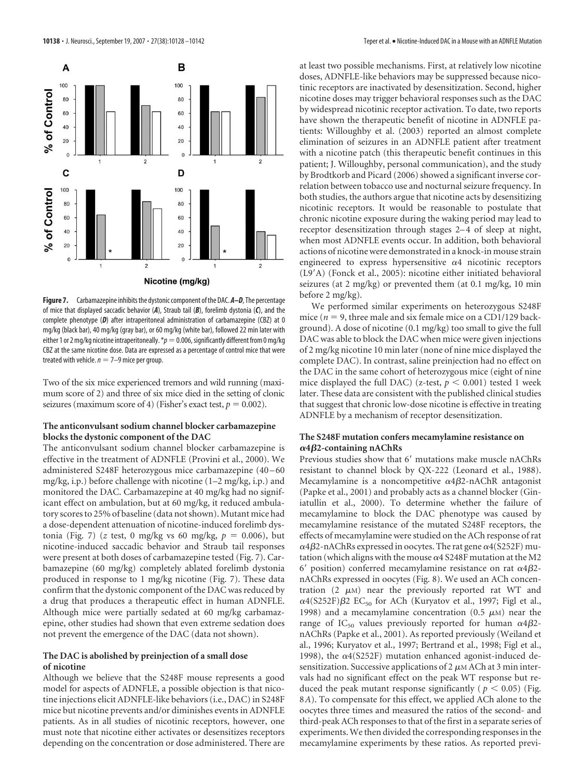

**Figure 7.** Carbamazepine inhibits the dystonic component of the DAC. **A–D**, The percentage of mice that displayed saccadic behavior (*A*), Straub tail (*B*), forelimb dystonia (*C*), and the complete phenotype (*D*) after intraperitoneal administration of carbamazepine (CBZ) at 0 mg/kg (black bar), 40 mg/kg (gray bar), or 60 mg/kg (white bar), followed 22 min later with either 1 or 2 mg/kg nicotine intraperitoneally.  $p=0.006$ , significantly different from 0 mg/kg CBZ at the same nicotine dose. Data are expressed as a percentage of control mice that were treated with vehicle.  $n = 7-9$  mice per group.

Two of the six mice experienced tremors and wild running (maximum score of 2) and three of six mice died in the setting of clonic seizures (maximum score of 4) (Fisher's exact test,  $p = 0.002$ ).

# **The anticonvulsant sodium channel blocker carbamazepine blocks the dystonic component of the DAC**

The anticonvulsant sodium channel blocker carbamazepine is effective in the treatment of ADNFLE (Provini et al., 2000). We administered S248F heterozygous mice carbamazepine (40 –60 mg/kg, i.p.) before challenge with nicotine (1–2 mg/kg, i.p.) and monitored the DAC. Carbamazepine at 40 mg/kg had no significant effect on ambulation, but at 60 mg/kg, it reduced ambulatory scores to 25% of baseline (data not shown). Mutant mice had a dose-dependent attenuation of nicotine-induced forelimb dystonia (Fig. 7) (*z* test, 0 mg/kg vs 60 mg/kg,  $p = 0.006$ ), but nicotine-induced saccadic behavior and Straub tail responses were present at both doses of carbamazepine tested (Fig. 7). Carbamazepine (60 mg/kg) completely ablated forelimb dystonia produced in response to 1 mg/kg nicotine (Fig. 7). These data confirm that the dystonic component of the DAC was reduced by a drug that produces a therapeutic effect in human ADNFLE. Although mice were partially sedated at 60 mg/kg carbamazepine, other studies had shown that even extreme sedation does not prevent the emergence of the DAC (data not shown).

## **The DAC is abolished by preinjection of a small dose of nicotine**

Although we believe that the S248F mouse represents a good model for aspects of ADNFLE, a possible objection is that nicotine injections elicit ADNFLE-like behaviors (i.e., DAC) in S248F mice but nicotine prevents and/or diminishes events in ADNFLE patients. As in all studies of nicotinic receptors, however, one must note that nicotine either activates or desensitizes receptors depending on the concentration or dose administered. There are

at least two possible mechanisms. First, at relatively low nicotine doses, ADNFLE-like behaviors may be suppressed because nicotinic receptors are inactivated by desensitization. Second, higher nicotine doses may trigger behavioral responses such as the DAC by widespread nicotinic receptor activation. To date, two reports have shown the therapeutic benefit of nicotine in ADNFLE patients: Willoughby et al. (2003) reported an almost complete elimination of seizures in an ADNFLE patient after treatment with a nicotine patch (this therapeutic benefit continues in this patient; J. Willoughby, personal communication), and the study by Brodtkorb and Picard (2006) showed a significant inverse correlation between tobacco use and nocturnal seizure frequency. In both studies, the authors argue that nicotine acts by desensitizing nicotinic receptors. It would be reasonable to postulate that chronic nicotine exposure during the waking period may lead to receptor desensitization through stages 2–4 of sleep at night, when most ADNFLE events occur. In addition, both behavioral actions of nicotine were demonstrated in a knock-in mouse strain engineered to express hypersensitive  $\alpha$ 4 nicotinic receptors (L9-A) (Fonck et al., 2005): nicotine either initiated behavioral seizures (at 2 mg/kg) or prevented them (at 0.1 mg/kg, 10 min before 2 mg/kg).

We performed similar experiments on heterozygous S248F mice ( $n = 9$ , three male and six female mice on a CD1/129 background). A dose of nicotine (0.1 mg/kg) too small to give the full DAC was able to block the DAC when mice were given injections of 2 mg/kg nicotine 10 min later (none of nine mice displayed the complete DAC). In contrast, saline preinjection had no effect on the DAC in the same cohort of heterozygous mice (eight of nine mice displayed the full DAC) (z-test,  $p < 0.001$ ) tested 1 week later. These data are consistent with the published clinical studies that suggest that chronic low-dose nicotine is effective in treating ADNFLE by a mechanism of receptor desensitization.

# **The S248F mutation confers mecamylamine resistance on 4**-**2-containing nAChRs**

Previous studies show that 6' mutations make muscle nAChRs resistant to channel block by QX-222 (Leonard et al., 1988). Mecamylamine is a noncompetitive  $\alpha$ 4 $\beta$ 2-nAChR antagonist (Papke et al., 2001) and probably acts as a channel blocker (Giniatullin et al., 2000). To determine whether the failure of mecamylamine to block the DAC phenotype was caused by mecamylamine resistance of the mutated S248F receptors, the effects of mecamylamine were studied on the ACh response of rat  $\alpha$ 4 $\beta$ 2-nAChRs expressed in oocytes. The rat gene  $\alpha$ 4(S252F) mutation (which aligns with the mouse  $\alpha$ 4 S248F mutation at the M2 6' position) conferred mecamylamine resistance on rat  $\alpha$ 4 $\beta$ 2nAChRs expressed in oocytes (Fig. 8). We used an ACh concentration  $(2 \mu M)$  near the previously reported rat WT and  $\alpha$ 4(S252F) $\beta$ 2 EC<sub>50</sub> for ACh (Kuryatov et al., 1997; Figl et al., 1998) and a mecamylamine concentration (0.5  $\mu$ M) near the range of IC<sub>50</sub> values previously reported for human  $\alpha$ 4 $\beta$ 2nAChRs (Papke et al., 2001). As reported previously (Weiland et al., 1996; Kuryatov et al., 1997; Bertrand et al., 1998; Figl et al., 1998), the  $\alpha$ 4(S252F) mutation enhanced agonist-induced desensitization. Successive applications of  $2 \mu M$  ACh at 3 min intervals had no significant effect on the peak WT response but reduced the peak mutant response significantly ( $p < 0.05$ ) (Fig. 8*A*). To compensate for this effect, we applied ACh alone to the oocytes three times and measured the ratios of the second- and third-peak ACh responses to that of the first in a separate series of experiments.We then divided the corresponding responses in the mecamylamine experiments by these ratios. As reported previ-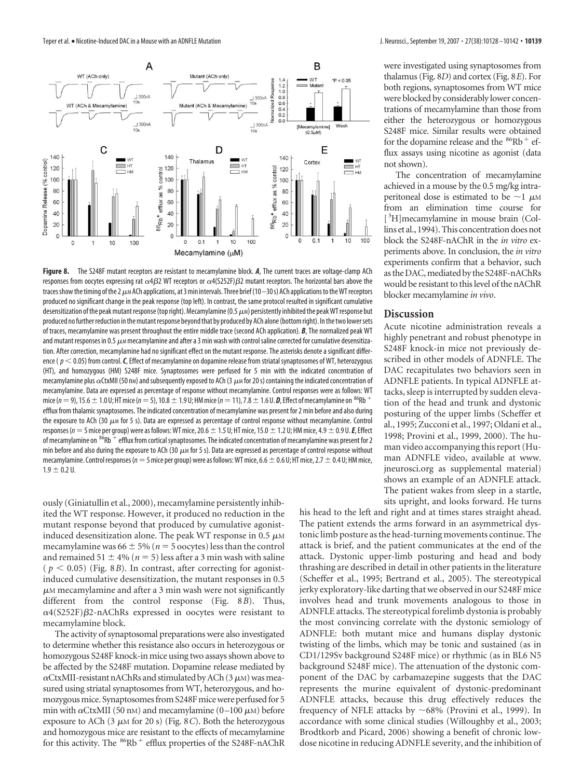

**Figure 8.** The S248F mutant receptors are resistant to mecamylamine block. *A*, The current traces are voltage-clamp ACh responses from oocytes expressing rat  $\alpha$ 4 $\beta$ 2 WT receptors or  $\alpha$ 4(S252F) $\beta$ 2 mutant receptors. The horizontal bars above the traces show the timing of the 2  $\mu$ M ACh applications, at 3 min intervals. Three brief (10 – 30 s) ACh applications to the WT receptors produced no significant change in the peak response (top left). In contrast, the same protocol resulted in significant cumulative desensitization of the peak mutant response (top right). Mecamylamine (0.5  $\mu$ M) persistently inhibited the peak WT response but produced no further reduction in the mutant response beyond that by produced by ACh alone (bottom right). In the two lower sets of traces, mecamylamine was present throughout the entire middle trace (second ACh application). *B*, The normalized peak WT and mutant responses in 0.5  $\mu$ m mecamylamine and after a 3 min wash with control saline corrected for cumulative desensitization. After correction, mecamylamine had no significant effect on the mutant response. The asterisks denote a significant difference ( $p < 0.05$ ) from control. *C*, Effect of mecamylamine on dopamine release from striatal synaptosomes of WT, heterozygous (HT), and homozygous (HM) S248F mice. Synaptosomes were perfused for 5 min with the indicated concentration of mecamylamine plus  $\alpha$ CtxMII (50 nm) and subsequently exposed to ACh (3  $\mu$ m for 20 s) containing the indicated concentration of mecamylamine. Data are expressed as percentage of response without mecamylamine. Control responses were as follows: WT mice ( $n=9$ ), 15.6  $\pm$  1.0 U; HT mice ( $n=5$ ), 10.8  $\pm$  1.9 U; HM mice ( $n=11$ ), 7.8  $\pm$  1.6 U. **D**, Effect of mecamylamine on <sup>86</sup>Rb<sup>+</sup> efflux from thalamic synaptosomes. The indicated concentration of mecamylamine was present for 2 min before and also during the exposure to ACh (30  $\mu$ M for 5 s). Data are expressed as percentage of control response without mecamylamine. Control responses ( $n=5$  mice per group) were as follows: WT mice, 20.6  $\pm$  1.5 U; HT mice, 15.0  $\pm$  1.2 U; HM mice, 4.9  $\pm$  0.9 U. E, Effect of mecamylamine on  $86Rb + eff$ lux from cortical synaptosomes. The indicated concentration of mecamylamine was present for 2 min before and also during the exposure to ACh (30  $\mu$ M for 5 s). Data are expressed as percentage of control response without mecamylamine. Control responses ( $n=5$  mice per group) were as follows: WT mice, 6.6  $\pm$  0.6 U; HT mice, 2.7  $\pm$  0.4 U; HM mice,  $1.9 \pm 0.2$  U.

ously (Giniatullin et al., 2000), mecamylamine persistently inhibited the WT response. However, it produced no reduction in the mutant response beyond that produced by cumulative agonistinduced desensitization alone. The peak WT response in 0.5  $\mu$ M mecamylamine was  $66 \pm 5\%$  ( $n = 5$  oocytes) less than the control and remained  $51 \pm 4\%$  ( $n = 5$ ) less after a 3 min wash with saline  $(p < 0.05)$  (Fig. 8*B*). In contrast, after correcting for agonistinduced cumulative desensitization, the mutant responses in 0.5  $\mu$ M mecamylamine and after a 3 min wash were not significantly different from the control response (Fig. 8*B*). Thus,  $\alpha$ 4(S252F) $\beta$ 2-nAChRs expressed in oocytes were resistant to mecamylamine block.

The activity of synaptosomal preparations were also investigated to determine whether this resistance also occurs in heterozygous or homozygous S248F knock-in mice using two assays shown above to be affected by the S248F mutation. Dopamine release mediated by  $\alpha$ CtxMII-resistant nAChRs and stimulated by ACh (3  $\mu$ M) was measured using striatal synaptosomes from WT, heterozygous, and homozygous mice. Synaptosomes from S248F mice were perfused for 5 min with  $\alpha$ CtxMII (50 nm) and mecamylamine (0–100  $\mu$ m) before exposure to ACh (3  $\mu$ M for 20 s) (Fig. 8*C*). Both the heterozygous and homozygous mice are resistant to the effects of mecamylamine for this activity. The  ${}^{86}Rb$ <sup>+</sup> efflux properties of the S248F-nAChR

were investigated using synaptosomes from thalamus (Fig. 8*D*) and cortex (Fig. 8*E*). For both regions, synaptosomes from WT mice were blocked by considerably lower concentrations of mecamylamine than those from either the heterozygous or homozygous S248F mice. Similar results were obtained for the dopamine release and the  ${}^{86}Rb$ <sup>+</sup> efflux assays using nicotine as agonist (data not shown).

The concentration of mecamylamine achieved in a mouse by the 0.5 mg/kg intraperitoneal dose is estimated to be  $\sim$ 1  $\mu$ M from an elimination time course for [ 3 H]mecamylamine in mouse brain (Collins et al., 1994). This concentration does not block the S248F-nAChR in the *in vitro* experiments above. In conclusion, the *in vitro* experiments confirm that a behavior, such as the DAC, mediated by the S248F-nAChRs would be resistant to this level of the nAChR blocker mecamylamine *in vivo*.

# **Discussion**

Acute nicotine administration reveals a highly penetrant and robust phenotype in S248F knock-in mice not previously described in other models of ADNFLE. The DAC recapitulates two behaviors seen in ADNFLE patients. In typical ADNFLE attacks, sleep is interrupted by sudden elevation of the head and trunk and dystonic posturing of the upper limbs (Scheffer et al., 1995; Zucconi et al., 1997; Oldani et al., 1998; Provini et al., 1999, 2000). The human video accompanying this report (Human ADNFLE video, available at www. jneurosci.org as supplemental material) shows an example of an ADNFLE attack. The patient wakes from sleep in a startle, sits upright, and looks forward. He turns

his head to the left and right and at times stares straight ahead. The patient extends the arms forward in an asymmetrical dystonic limb posture as the head-turning movements continue. The attack is brief, and the patient communicates at the end of the attack. Dystonic upper-limb posturing and head and body thrashing are described in detail in other patients in the literature (Scheffer et al., 1995; Bertrand et al., 2005). The stereotypical jerky exploratory-like darting that we observed in our S248F mice involves head and trunk movements analogous to those in ADNFLE attacks. The stereotypical forelimb dystonia is probably the most convincing correlate with the dystonic semiology of ADNFLE: both mutant mice and humans display dystonic twisting of the limbs, which may be tonic and sustained (as in CD1/129Sv background S248F mice) or rhythmic (as in BL6 N5 background S248F mice). The attenuation of the dystonic component of the DAC by carbamazepine suggests that the DAC represents the murine equivalent of dystonic-predominant ADNFLE attacks, because this drug effectively reduces the frequency of NFLE attacks by  $~68\%$  (Provini et al., 1999). In accordance with some clinical studies (Willoughby et al., 2003; Brodtkorb and Picard, 2006) showing a benefit of chronic lowdose nicotine in reducing ADNFLE severity, and the inhibition of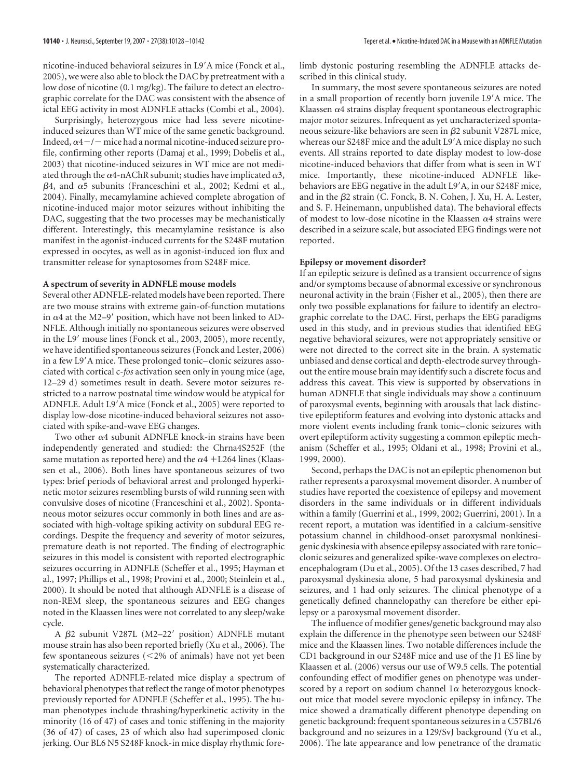nicotine-induced behavioral seizures in L9-A mice (Fonck et al., 2005), we were also able to block the DAC by pretreatment with a low dose of nicotine (0.1 mg/kg). The failure to detect an electrographic correlate for the DAC was consistent with the absence of ictal EEG activity in most ADNFLE attacks (Combi et al., 2004).

Surprisingly, heterozygous mice had less severe nicotineinduced seizures than WT mice of the same genetic background. Indeed,  $\alpha$ 4 -/ - mice had a normal nicotine-induced seizure profile, confirming other reports (Damaj et al., 1999; Dobelis et al., 2003) that nicotine-induced seizures in WT mice are not mediated through the  $\alpha$ 4-nAChR subunit; studies have implicated  $\alpha$ 3,  $\beta$ 4, and  $\alpha$ 5 subunits (Franceschini et al., 2002; Kedmi et al., 2004). Finally, mecamylamine achieved complete abrogation of nicotine-induced major motor seizures without inhibiting the DAC, suggesting that the two processes may be mechanistically different. Interestingly, this mecamylamine resistance is also manifest in the agonist-induced currents for the S248F mutation expressed in oocytes, as well as in agonist-induced ion flux and transmitter release for synaptosomes from S248F mice.

### **A spectrum of severity in ADNFLE mouse models**

Several other ADNFLE-related models have been reported. There are two mouse strains with extreme gain-of-function mutations in  $\alpha$ 4 at the M2–9<sup>'</sup> position, which have not been linked to AD-NFLE. Although initially no spontaneous seizures were observed in the L9' mouse lines (Fonck et al., 2003, 2005), more recently, we have identified spontaneous seizures (Fonck and Lester, 2006) in a few L9'A mice. These prolonged tonic-clonic seizures associated with cortical c-*fos* activation seen only in young mice (age, 12–29 d) sometimes result in death. Severe motor seizures restricted to a narrow postnatal time window would be atypical for ADNFLE. Adult L9'A mice (Fonck et al., 2005) were reported to display low-dose nicotine-induced behavioral seizures not associated with spike-and-wave EEG changes.

Two other  $\alpha$ 4 subunit ADNFLE knock-in strains have been independently generated and studied: the Chrna4S252F (the same mutation as reported here) and the  $\alpha$ 4 +L264 lines (Klaassen et al., 2006). Both lines have spontaneous seizures of two types: brief periods of behavioral arrest and prolonged hyperkinetic motor seizures resembling bursts of wild running seen with convulsive doses of nicotine (Franceschini et al., 2002). Spontaneous motor seizures occur commonly in both lines and are associated with high-voltage spiking activity on subdural EEG recordings. Despite the frequency and severity of motor seizures, premature death is not reported. The finding of electrographic seizures in this model is consistent with reported electrographic seizures occurring in ADNFLE (Scheffer et al., 1995; Hayman et al., 1997; Phillips et al., 1998; Provini et al., 2000; Steinlein et al., 2000). It should be noted that although ADNFLE is a disease of non-REM sleep, the spontaneous seizures and EEG changes noted in the Klaassen lines were not correlated to any sleep/wake cycle.

A  $\beta$ 2 subunit V287L (M2-22' position) ADNFLE mutant mouse strain has also been reported briefly (Xu et al., 2006). The few spontaneous seizures  $\left($  < 2% of animals) have not yet been systematically characterized.

The reported ADNFLE-related mice display a spectrum of behavioral phenotypes that reflect the range of motor phenotypes previously reported for ADNFLE (Scheffer et al., 1995). The human phenotypes include thrashing/hyperkinetic activity in the minority (16 of 47) of cases and tonic stiffening in the majority (36 of 47) of cases, 23 of which also had superimposed clonic jerking. Our BL6 N5 S248F knock-in mice display rhythmic forelimb dystonic posturing resembling the ADNFLE attacks described in this clinical study.

In summary, the most severe spontaneous seizures are noted in a small proportion of recently born juvenile L9'A mice. The Klaassen  $\alpha$ 4 strains display frequent spontaneous electrographic major motor seizures. Infrequent as yet uncharacterized spontaneous seizure-like behaviors are seen in  $\beta$ 2 subunit V287L mice, whereas our S248F mice and the adult L9'A mice display no such events. All strains reported to date display modest to low-dose nicotine-induced behaviors that differ from what is seen in WT mice. Importantly, these nicotine-induced ADNFLE likebehaviors are EEG negative in the adult L9'A, in our S248F mice, and in the  $\beta$ 2 strain (C. Fonck, B. N. Cohen, J. Xu, H. A. Lester, and S. F. Heinemann, unpublished data). The behavioral effects of modest to low-dose nicotine in the Klaassen  $\alpha$ 4 strains were described in a seizure scale, but associated EEG findings were not reported.

### **Epilepsy or movement disorder?**

If an epileptic seizure is defined as a transient occurrence of signs and/or symptoms because of abnormal excessive or synchronous neuronal activity in the brain (Fisher et al., 2005), then there are only two possible explanations for failure to identify an electrographic correlate to the DAC. First, perhaps the EEG paradigms used in this study, and in previous studies that identified EEG negative behavioral seizures, were not appropriately sensitive or were not directed to the correct site in the brain. A systematic unbiased and dense cortical and depth-electrode survey throughout the entire mouse brain may identify such a discrete focus and address this caveat. This view is supported by observations in human ADNFLE that single individuals may show a continuum of paroxysmal events, beginning with arousals that lack distinctive epileptiform features and evolving into dystonic attacks and more violent events including frank tonic– clonic seizures with overt epileptiform activity suggesting a common epileptic mechanism (Scheffer et al., 1995; Oldani et al., 1998; Provini et al., 1999, 2000).

Second, perhaps the DAC is not an epileptic phenomenon but rather represents a paroxysmal movement disorder. A number of studies have reported the coexistence of epilepsy and movement disorders in the same individuals or in different individuals within a family (Guerrini et al., 1999, 2002; Guerrini, 2001). In a recent report, a mutation was identified in a calcium-sensitive potassium channel in childhood-onset paroxysmal nonkinesigenic dyskinesia with absence epilepsy associated with rare tonic– clonic seizures and generalized spike-wave complexes on electroencephalogram (Du et al., 2005). Of the 13 cases described, 7 had paroxysmal dyskinesia alone, 5 had paroxysmal dyskinesia and seizures, and 1 had only seizures. The clinical phenotype of a genetically defined channelopathy can therefore be either epilepsy or a paroxysmal movement disorder.

The influence of modifier genes/genetic background may also explain the difference in the phenotype seen between our S248F mice and the Klaassen lines. Two notable differences include the CD1 background in our S248F mice and use of the J1 ES line by Klaassen et al. (2006) versus our use of W9.5 cells. The potential confounding effect of modifier genes on phenotype was underscored by a report on sodium channel  $1\alpha$  heterozygous knockout mice that model severe myoclonic epilepsy in infancy. The mice showed a dramatically different phenotype depending on genetic background: frequent spontaneous seizures in a C57BL/6 background and no seizures in a 129/SvJ background (Yu et al., 2006). The late appearance and low penetrance of the dramatic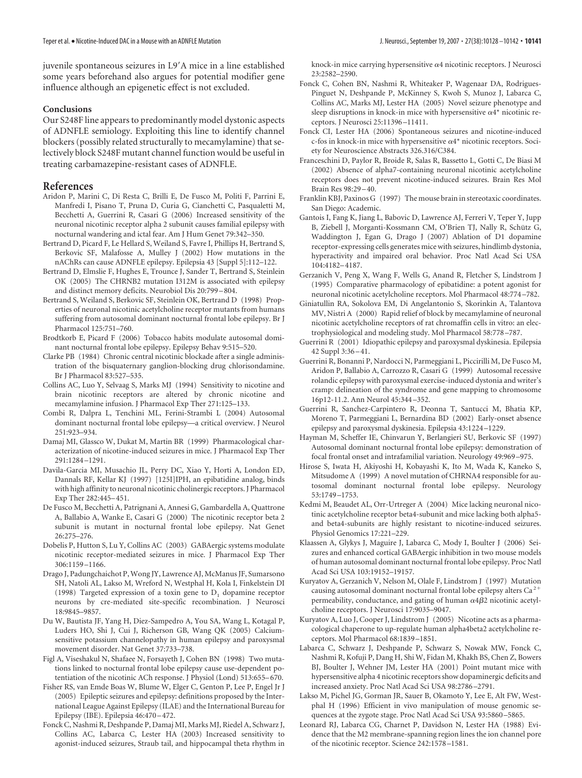juvenile spontaneous seizures in L9-A mice in a line established some years beforehand also argues for potential modifier gene influence although an epigenetic effect is not excluded.

## **Conclusions**

Our S248F line appears to predominantly model dystonic aspects of ADNFLE semiology. Exploiting this line to identify channel blockers (possibly related structurally to mecamylamine) that selectively block S248F mutant channel function would be useful in treating carbamazepine-resistant cases of ADNFLE.

# **References**

- Aridon P, Marini C, Di Resta C, Brilli E, De Fusco M, Politi F, Parrini E, Manfredi I, Pisano T, Pruna D, Curia G, Cianchetti C, Pasqualetti M, Becchetti A, Guerrini R, Casari G (2006) Increased sensitivity of the neuronal nicotinic receptor alpha 2 subunit causes familial epilepsy with nocturnal wandering and ictal fear. Am J Hum Genet 79:342–350.
- Bertrand D, Picard F, Le Hellard S, Weiland S, Favre I, Phillips H, Bertrand S, Berkovic SF, Malafosse A, Mulley J (2002) How mutations in the nAChRs can cause ADNFLE epilepsy. Epilepsia 43 [Suppl 5]:112–122.
- Bertrand D, Elmslie F, Hughes E, Trounce J, Sander T, Bertrand S, Steinlein OK (2005) The CHRNB2 mutation I312M is associated with epilepsy and distinct memory deficits. Neurobiol Dis 20:799 –804.
- Bertrand S, Weiland S, Berkovic SF, Steinlein OK, Bertrand D (1998) Properties of neuronal nicotinic acetylcholine receptor mutants from humans suffering from autosomal dominant nocturnal frontal lobe epilepsy. Br J Pharmacol 125:751–760.
- Brodtkorb E, Picard F (2006) Tobacco habits modulate autosomal dominant nocturnal frontal lobe epilepsy. Epilepsy Behav 9:515–520.
- Clarke PB (1984) Chronic central nicotinic blockade after a single administration of the bisquaternary ganglion-blocking drug chlorisondamine. Br J Pharmacol 83:527–535.
- Collins AC, Luo Y, Selvaag S, Marks MJ (1994) Sensitivity to nicotine and brain nicotinic receptors are altered by chronic nicotine and mecamylamine infusion. J Pharmacol Exp Ther 271:125–133.
- Combi R, Dalpra L, Tenchini ML, Ferini-Strambi L (2004) Autosomal dominant nocturnal frontal lobe epilepsy—a critical overview. J Neurol 251:923–934.
- Damaj MI, Glassco W, Dukat M, Martin BR (1999) Pharmacological characterization of nicotine-induced seizures in mice. J Pharmacol Exp Ther 291:1284 –1291.
- Davila-Garcia MI, Musachio JL, Perry DC, Xiao Y, Horti A, London ED, Dannals RF, Kellar KJ (1997) [125I]IPH, an epibatidine analog, binds with high affinity to neuronal nicotinic cholinergic receptors. J Pharmacol Exp Ther 282:445–451.
- De Fusco M, Becchetti A, Patrignani A, Annesi G, Gambardella A, Quattrone A, Ballabio A, Wanke E, Casari G (2000) The nicotinic receptor beta 2 subunit is mutant in nocturnal frontal lobe epilepsy. Nat Genet 26:275–276.
- Dobelis P, Hutton S, Lu Y, Collins AC (2003) GABAergic systems modulate nicotinic receptor-mediated seizures in mice. J Pharmacol Exp Ther 306:1159 –1166.
- Drago J, Padungchaichot P, Wong JY, Lawrence AJ, McManus JF, Sumarsono SH, Natoli AL, Lakso M, Wreford N, Westphal H, Kola I, Finkelstein DI (1998) Targeted expression of a toxin gene to  $D_1$  dopamine receptor neurons by cre-mediated site-specific recombination. J Neurosci 18:9845–9857.
- Du W, Bautista JF, Yang H, Diez-Sampedro A, You SA, Wang L, Kotagal P, Luders HO, Shi J, Cui J, Richerson GB, Wang QK (2005) Calciumsensitive potassium channelopathy in human epilepsy and paroxysmal movement disorder. Nat Genet 37:733–738.
- Figl A, Viseshakul N, Shafaee N, Forsayeth J, Cohen BN (1998) Two mutations linked to nocturnal frontal lobe epilepsy cause use-dependent potentiation of the nicotinic ACh response. J Physiol (Lond) 513:655–670.
- Fisher RS, van Emde Boas W, Blume W, Elger C, Genton P, Lee P, Engel Jr J (2005) Epileptic seizures and epilepsy: definitions proposed by the International League Against Epilepsy (ILAE) and the International Bureau for Epilepsy (IBE). Epilepsia 46:470 –472.
- Fonck C, Nashmi R, Deshpande P, Damaj MI, Marks MJ, Riedel A, Schwarz J, Collins AC, Labarca C, Lester HA (2003) Increased sensitivity to agonist-induced seizures, Straub tail, and hippocampal theta rhythm in

knock-in mice carrying hypersensitive  $\alpha$ 4 nicotinic receptors. J Neurosci 23:2582–2590.

- Fonck C, Cohen BN, Nashmi R, Whiteaker P, Wagenaar DA, Rodrigues-Pinguet N, Deshpande P, McKinney S, Kwoh S, Munoz J, Labarca C, Collins AC, Marks MJ, Lester HA (2005) Novel seizure phenotype and sleep disruptions in knock-in mice with hypersensitive  $\alpha$ <sup>+</sup> nicotinic receptors. J Neurosci 25:11396 –11411.
- Fonck CI, Lester HA (2006) Spontaneous seizures and nicotine-induced c-fos in knock-in mice with hypersensitive  $\alpha$ <sup>+</sup> nicotinic receptors. Society for Neuroscience Abstracts 326.316/C384.
- Franceschini D, Paylor R, Broide R, Salas R, Bassetto L, Gotti C, De Biasi M (2002) Absence of alpha7-containing neuronal nicotinic acetylcholine receptors does not prevent nicotine-induced seizures. Brain Res Mol Brain Res 98:29 –40.
- Franklin KBJ, Paxinos G (1997) The mouse brain in stereotaxic coordinates. San Diego: Academic.
- Gantois I, Fang K, Jiang L, Babovic D, Lawrence AJ, Ferreri V, Teper Y, Jupp B, Ziebell J, Morganti-Kossmann CM, O'Brien TJ, Nally R, Schütz G, Waddington J, Egan G, Drago J (2007) Ablation of D1 dopamine receptor-expressing cells generates mice with seizures, hindlimb dystonia, hyperactivity and impaired oral behavior. Proc Natl Acad Sci USA 104:4182–4187.
- Gerzanich V, Peng X, Wang F, Wells G, Anand R, Fletcher S, Lindstrom J (1995) Comparative pharmacology of epibatidine: a potent agonist for neuronal nicotinic acetylcholine receptors. Mol Pharmacol 48:774 –782.
- Giniatullin RA, Sokolova EM, Di Angelantonio S, Skorinkin A, Talantova MV, Nistri A (2000) Rapid relief of block by mecamylamine of neuronal nicotinic acetylcholine receptors of rat chromaffin cells in vitro: an electrophysiological and modeling study. Mol Pharmacol 58:778 –787.
- Guerrini R (2001) Idiopathic epilepsy and paroxysmal dyskinesia. Epilepsia 42 Suppl 3:36 –41.
- Guerrini R, Bonanni P, Nardocci N, Parmeggiani L, Piccirilli M, De Fusco M, Aridon P, Ballabio A, Carrozzo R, Casari G (1999) Autosomal recessive rolandic epilepsy with paroxysmal exercise-induced dystonia and writer's cramp: delineation of the syndrome and gene mapping to chromosome 16p12-11.2. Ann Neurol 45:344 –352.
- Guerrini R, Sanchez-Carpintero R, Deonna T, Santucci M, Bhatia KP, Moreno T, Parmeggiani L, Bernardina BD (2002) Early-onset absence epilepsy and paroxysmal dyskinesia. Epilepsia 43:1224 –1229.
- Hayman M, Scheffer IE, Chinvarun Y, Berlangieri SU, Berkovic SF (1997) Autosomal dominant nocturnal frontal lobe epilepsy: demonstration of focal frontal onset and intrafamilial variation. Neurology 49:969 –975.
- Hirose S, Iwata H, Akiyoshi H, Kobayashi K, Ito M, Wada K, Kaneko S, Mitsudome A (1999) A novel mutation of CHRNA4 responsible for autosomal dominant nocturnal frontal lobe epilepsy. Neurology 53:1749 –1753.
- Kedmi M, Beaudet AL, Orr-Urtreger A (2004) Mice lacking neuronal nicotinic acetylcholine receptor beta4-subunit and mice lacking both alpha5 and beta4-subunits are highly resistant to nicotine-induced seizures. Physiol Genomics 17:221–229.
- Klaassen A, Glykys J, Maguire J, Labarca C, Mody I, Boulter J (2006) Seizures and enhanced cortical GABAergic inhibition in two mouse models of human autosomal dominant nocturnal frontal lobe epilepsy. Proc Natl Acad Sci USA 103:19152–19157.
- Kuryatov A, Gerzanich V, Nelson M, Olale F, Lindstrom J (1997) Mutation causing autosomal dominant nocturnal frontal lobe epilepsy alters  $Ca^{2+}$ permeability, conductance, and gating of human  $\alpha$ 4 $\beta$ 2 nicotinic acetylcholine receptors. J Neurosci 17:9035–9047.
- Kuryatov A, Luo J, Cooper J, Lindstrom J (2005) Nicotine acts as a pharmacological chaperone to up-regulate human alpha4beta2 acetylcholine receptors. Mol Pharmacol 68:1839 –1851.
- Labarca C, Schwarz J, Deshpande P, Schwarz S, Nowak MW, Fonck C, Nashmi R, Kofuji P, Dang H, Shi W, Fidan M, Khakh BS, Chen Z, Bowers BJ, Boulter J, Wehner JM, Lester HA (2001) Point mutant mice with hypersensitive alpha 4 nicotinic receptors show dopaminergic deficits and increased anxiety. Proc Natl Acad Sci USA 98:2786 –2791.
- Lakso M, Pichel JG, Gorman JR, Sauer B, Okamoto Y, Lee E, Alt FW, Westphal H (1996) Efficient in vivo manipulation of mouse genomic sequences at the zygote stage. Proc Natl Acad Sci USA 93:5860 –5865.
- Leonard RJ, Labarca CG, Charnet P, Davidson N, Lester HA (1988) Evidence that the M2 membrane-spanning region lines the ion channel pore of the nicotinic receptor. Science 242:1578 –1581.